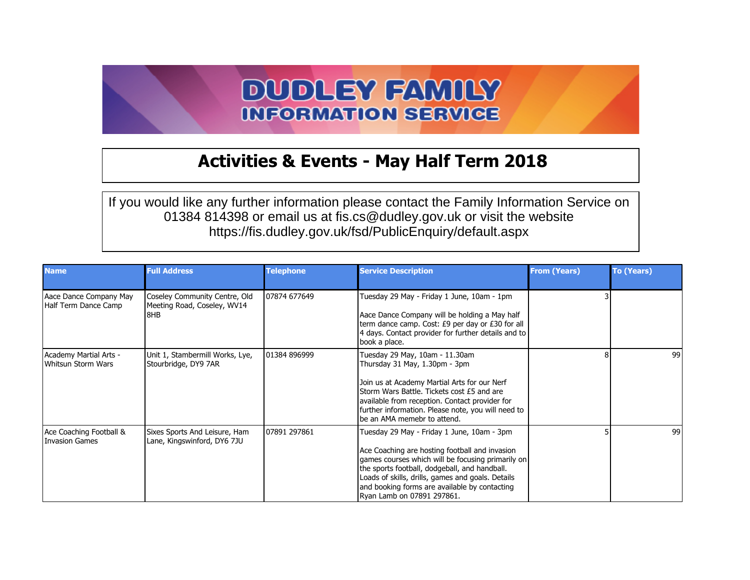## **DUDLEY FAMILY INFORMATION SERVICE**

## **Activities & Events - May Half Term 2018**

If you would like any further information please contact the Family Information Service on 01384 814398 or email us at fis.cs@dudley.gov.uk or visit the website https://fis.dudley.gov.uk/fsd/PublicEnquiry/default.aspx

| <b>Name</b>                                    | <b>Full Address</b>                                                   | <b>Telephone</b> | <b>Service Description</b>                                                                                                                                                                                                                                                                                                             | <b>From (Years)</b> | <b>To (Years)</b> |
|------------------------------------------------|-----------------------------------------------------------------------|------------------|----------------------------------------------------------------------------------------------------------------------------------------------------------------------------------------------------------------------------------------------------------------------------------------------------------------------------------------|---------------------|-------------------|
| Aace Dance Company May<br>Half Term Dance Camp | Coseley Community Centre, Old<br>Meeting Road, Coseley, WV14<br>I 8HB | 107874 677649    | Tuesday 29 May - Friday 1 June, 10am - 1pm<br>Aace Dance Company will be holding a May half<br>term dance camp. Cost: £9 per day or £30 for all<br>4 days. Contact provider for further details and to<br>book a place.                                                                                                                |                     |                   |
| Academy Martial Arts -<br>Whitsun Storm Wars   | Unit 1, Stambermill Works, Lye,<br>Stourbridge, DY9 7AR               | 101384 896999    | Tuesday 29 May, 10am - 11.30am<br>Thursday 31 May, 1.30pm - 3pm<br>Join us at Academy Martial Arts for our Nerf<br>Storm Wars Battle. Tickets cost £5 and are<br>available from reception. Contact provider for<br>further information. Please note, you will need to<br>be an AMA memebr to attend.                                   |                     | 99                |
| Ace Coaching Football &<br>Invasion Games      | Sixes Sports And Leisure, Ham<br>Lane, Kingswinford, DY6 7JU          | 107891 297861    | Tuesday 29 May - Friday 1 June, 10am - 3pm<br>Ace Coaching are hosting football and invasion<br>games courses which will be focusing primarily on<br>the sports football, dodgeball, and handball.<br>Loads of skills, drills, games and goals. Details<br>and booking forms are available by contacting<br>Ryan Lamb on 07891 297861. |                     | 99                |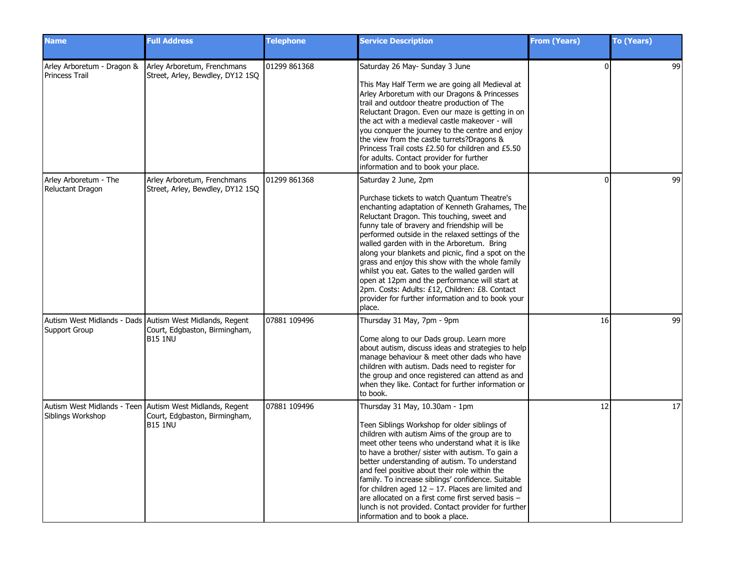| <b>Name</b>                               | <b>Full Address</b>                                                                                         | <b>Telephone</b> | <b>Service Description</b>                                                                                                                                                                                                                                                                                                                                                                                                                                                                                                                                                                                                                           | <b>From (Years)</b> | To (Years) |
|-------------------------------------------|-------------------------------------------------------------------------------------------------------------|------------------|------------------------------------------------------------------------------------------------------------------------------------------------------------------------------------------------------------------------------------------------------------------------------------------------------------------------------------------------------------------------------------------------------------------------------------------------------------------------------------------------------------------------------------------------------------------------------------------------------------------------------------------------------|---------------------|------------|
| Princess Trail                            | Arley Arboretum - Dragon & Arley Arboretum, Frenchmans<br>Street, Arley, Bewdley, DY12 1SQ                  | 01299 861368     | Saturday 26 May- Sunday 3 June<br>This May Half Term we are going all Medieval at<br>Arley Arboretum with our Dragons & Princesses<br>trail and outdoor theatre production of The<br>Reluctant Dragon. Even our maze is getting in on<br>the act with a medieval castle makeover - will<br>you conquer the journey to the centre and enjoy<br>the view from the castle turrets?Dragons &<br>Princess Trail costs £2.50 for children and £5.50<br>for adults. Contact provider for further<br>information and to book your place.                                                                                                                     | $\Omega$            | 99         |
| Arley Arboretum - The<br>Reluctant Dragon | Arley Arboretum, Frenchmans<br>Street, Arley, Bewdley, DY12 1SQ                                             | 01299 861368     | Saturday 2 June, 2pm<br>Purchase tickets to watch Quantum Theatre's<br>enchanting adaptation of Kenneth Grahames, The<br>Reluctant Dragon. This touching, sweet and<br>funny tale of bravery and friendship will be<br>performed outside in the relaxed settings of the<br>walled garden with in the Arboretum. Bring<br>along your blankets and picnic, find a spot on the<br>grass and enjoy this show with the whole family<br>whilst you eat. Gates to the walled garden will<br>open at 12pm and the performance will start at<br>2pm. Costs: Adults: £12, Children: £8. Contact<br>provider for further information and to book your<br>place. | $\Omega$            | 99         |
| Support Group                             | Autism West Midlands - Dads Autism West Midlands, Regent<br>Court, Edgbaston, Birmingham,<br><b>B15 1NU</b> | 07881 109496     | Thursday 31 May, 7pm - 9pm<br>Come along to our Dads group. Learn more<br>about autism, discuss ideas and strategies to help<br>manage behaviour & meet other dads who have<br>children with autism. Dads need to register for<br>the group and once registered can attend as and<br>when they like. Contact for further information or<br>to book.                                                                                                                                                                                                                                                                                                  | 16                  | 99         |
| Siblings Workshop                         | Autism West Midlands - Teen Autism West Midlands, Regent<br>Court, Edgbaston, Birmingham,<br><b>B15 1NU</b> | 07881 109496     | Thursday 31 May, 10.30am - 1pm<br>Teen Siblings Workshop for older siblings of<br>children with autism Aims of the group are to<br>meet other teens who understand what it is like<br>to have a brother/ sister with autism. To gain a<br>better understanding of autism. To understand<br>and feel positive about their role within the<br>family. To increase siblings' confidence. Suitable<br>for children aged $12 - 17$ . Places are limited and<br>are allocated on a first come first served basis -<br>lunch is not provided. Contact provider for further<br>information and to book a place.                                              | 12                  | 17         |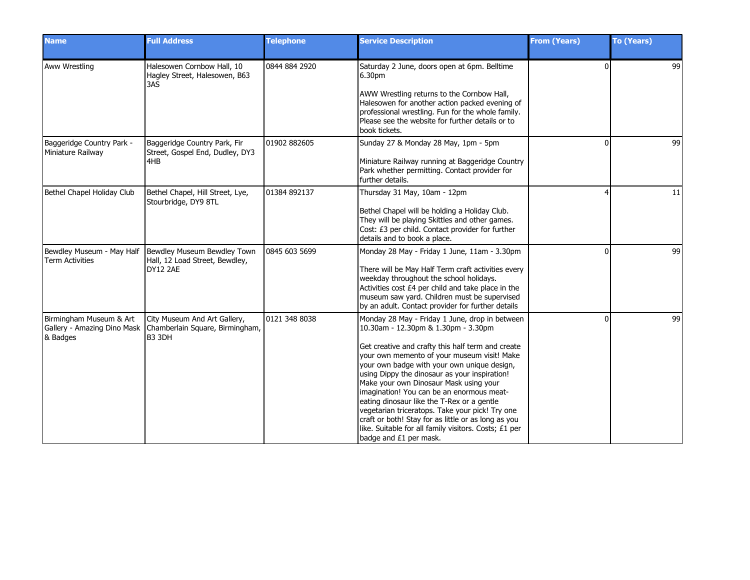| <b>Name</b>                                    | <b>Full Address</b>                                                                                     | <b>Telephone</b> | <b>Service Description</b>                                                                                                                                                                                                                                                                                                                                                                                                                                                                                                                                                                                                  | <b>From (Years)</b> | <b>To (Years)</b> |
|------------------------------------------------|---------------------------------------------------------------------------------------------------------|------------------|-----------------------------------------------------------------------------------------------------------------------------------------------------------------------------------------------------------------------------------------------------------------------------------------------------------------------------------------------------------------------------------------------------------------------------------------------------------------------------------------------------------------------------------------------------------------------------------------------------------------------------|---------------------|-------------------|
| <b>Aww Wrestling</b>                           | Halesowen Cornbow Hall, 10<br>Hagley Street, Halesowen, B63<br>3AS                                      | 0844 884 2920    | Saturday 2 June, doors open at 6pm. Belltime<br>6.30pm<br>AWW Wrestling returns to the Cornbow Hall,<br>Halesowen for another action packed evening of<br>professional wrestling. Fun for the whole family.<br>Please see the website for further details or to<br>book tickets.                                                                                                                                                                                                                                                                                                                                            | $\Omega$            | 99                |
| Baggeridge Country Park -<br>Miniature Railway | Baggeridge Country Park, Fir<br>Street, Gospel End, Dudley, DY3<br>4HB                                  | 01902 882605     | Sunday 27 & Monday 28 May, 1pm - 5pm<br>Miniature Railway running at Baggeridge Country<br>Park whether permitting. Contact provider for<br>further details.                                                                                                                                                                                                                                                                                                                                                                                                                                                                | $\Omega$            | 99                |
| Bethel Chapel Holiday Club                     | Bethel Chapel, Hill Street, Lye,<br>Stourbridge, DY9 8TL                                                | 01384 892137     | Thursday 31 May, 10am - 12pm<br>Bethel Chapel will be holding a Holiday Club.<br>They will be playing Skittles and other games.<br>Cost: £3 per child. Contact provider for further<br>details and to book a place.                                                                                                                                                                                                                                                                                                                                                                                                         |                     | 11                |
| <b>Term Activities</b>                         | Bewdley Museum - May Half   Bewdley Museum Bewdley Town<br>Hall, 12 Load Street, Bewdley,<br>DY12 2AE   | 0845 603 5699    | Monday 28 May - Friday 1 June, 11am - 3.30pm<br>There will be May Half Term craft activities every<br>weekday throughout the school holidays.<br>Activities cost £4 per child and take place in the<br>museum saw yard. Children must be supervised<br>by an adult. Contact provider for further details                                                                                                                                                                                                                                                                                                                    | $\Omega$            | 99                |
| Birmingham Museum & Art<br>& Badges            | City Museum And Art Gallery,<br>Gallery - Amazing Dino Mask   Chamberlain Square, Birmingham,<br>B3 3DH | 0121 348 8038    | Monday 28 May - Friday 1 June, drop in between<br>10.30am - 12.30pm & 1.30pm - 3.30pm<br>Get creative and crafty this half term and create<br>your own memento of your museum visit! Make<br>your own badge with your own unique design,<br>using Dippy the dinosaur as your inspiration!<br>Make your own Dinosaur Mask using your<br>imagination! You can be an enormous meat-<br>eating dinosaur like the T-Rex or a gentle<br>vegetarian triceratops. Take your pick! Try one<br>craft or both! Stay for as little or as long as you<br>like. Suitable for all family visitors. Costs; £1 per<br>badge and £1 per mask. | ŋ                   | 99                |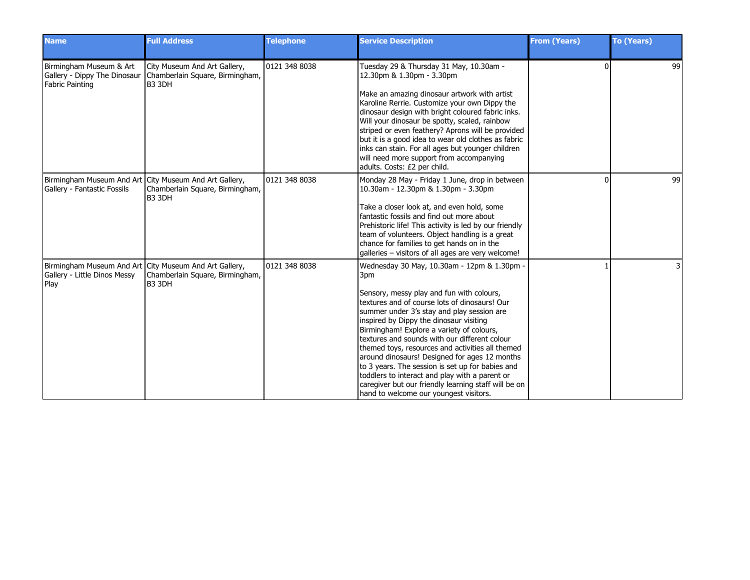| <b>Name</b>                                                                       | <b>Full Address</b>                                                                                  | <b>Telephone</b> | <b>Service Description</b>                                                                                                                                                                                                                                                                                                                                                                                                                                                                                                                                                                                                                           | <b>From (Years)</b> | <b>To (Years)</b> |
|-----------------------------------------------------------------------------------|------------------------------------------------------------------------------------------------------|------------------|------------------------------------------------------------------------------------------------------------------------------------------------------------------------------------------------------------------------------------------------------------------------------------------------------------------------------------------------------------------------------------------------------------------------------------------------------------------------------------------------------------------------------------------------------------------------------------------------------------------------------------------------------|---------------------|-------------------|
| Birmingham Museum & Art<br>Gallery - Dippy The Dinosaur<br><b>Fabric Painting</b> | City Museum And Art Gallery,<br>Chamberlain Square, Birmingham,<br>B3 3DH                            | 0121 348 8038    | Tuesday 29 & Thursday 31 May, 10.30am -<br>12.30pm & 1.30pm - 3.30pm<br>Make an amazing dinosaur artwork with artist<br>Karoline Rerrie. Customize your own Dippy the<br>dinosaur design with bright coloured fabric inks.<br>Will your dinosaur be spotty, scaled, rainbow<br>striped or even feathery? Aprons will be provided<br>but it is a good idea to wear old clothes as fabric<br>inks can stain. For all ages but younger children<br>will need more support from accompanying<br>adults. Costs: £2 per child.                                                                                                                             | $\Omega$            | 99                |
| Gallery - Fantastic Fossils                                                       | Birmingham Museum And Art City Museum And Art Gallery,<br>Chamberlain Square, Birmingham,<br>IB3 3DH | 0121 348 8038    | Monday 28 May - Friday 1 June, drop in between<br>10.30am - 12.30pm & 1.30pm - 3.30pm<br>Take a closer look at, and even hold, some<br>fantastic fossils and find out more about<br>Prehistoric life! This activity is led by our friendly<br>team of volunteers. Object handling is a great<br>chance for families to get hands on in the<br>galleries - visitors of all ages are very welcome!                                                                                                                                                                                                                                                     | $\Omega$            | 99                |
| Gallery - Little Dinos Messy<br>Play                                              | Birmingham Museum And Art City Museum And Art Gallery,<br>Chamberlain Square, Birmingham,<br>B3 3DH  | 0121 348 8038    | Wednesday 30 May, 10.30am - 12pm & 1.30pm -<br>3pm<br>Sensory, messy play and fun with colours,<br>textures and of course lots of dinosaurs! Our<br>summer under 3's stay and play session are<br>inspired by Dippy the dinosaur visiting<br>Birmingham! Explore a variety of colours,<br>textures and sounds with our different colour<br>themed toys, resources and activities all themed<br>around dinosaurs! Designed for ages 12 months<br>to 3 years. The session is set up for babies and<br>toddlers to interact and play with a parent or<br>caregiver but our friendly learning staff will be on<br>hand to welcome our youngest visitors. |                     |                   |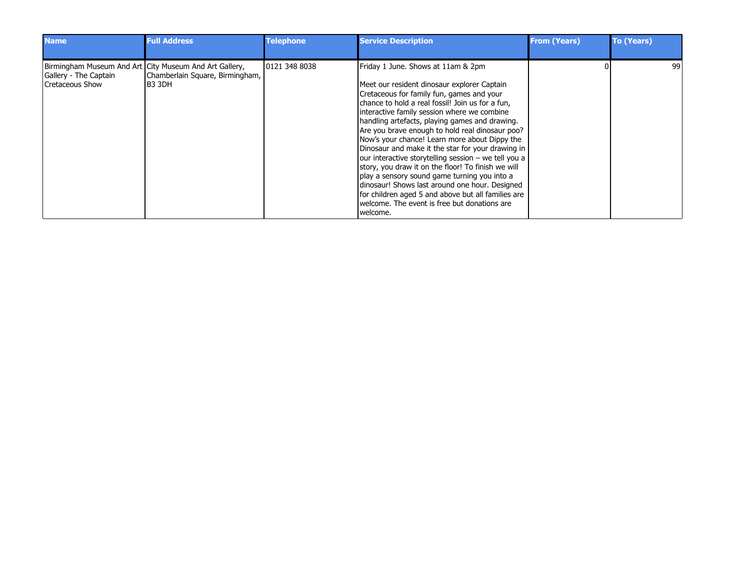| <b>Name</b>                              | <b>Full Address</b>                                                                                  | <b>Telephone</b> | <b>Service Description</b>                                                                                                                                                                                                                                                                                                                                                              | <b>From (Years)</b> | <b>To (Years)</b> |
|------------------------------------------|------------------------------------------------------------------------------------------------------|------------------|-----------------------------------------------------------------------------------------------------------------------------------------------------------------------------------------------------------------------------------------------------------------------------------------------------------------------------------------------------------------------------------------|---------------------|-------------------|
| Gallery - The Captain<br>Cretaceous Show | Birmingham Museum And Art City Museum And Art Gallery,<br>Chamberlain Square, Birmingham,<br>IB3 3DH | 0121 348 8038    | Friday 1 June. Shows at 11am & 2pm<br>Meet our resident dinosaur explorer Captain<br>Cretaceous for family fun, games and your<br>chance to hold a real fossil! Join us for a fun.<br>interactive family session where we combine<br>handling artefacts, playing games and drawing.<br>Are you brave enough to hold real dinosaur poo?<br>Now's your chance! Learn more about Dippy the |                     | 99                |
|                                          |                                                                                                      |                  | Dinosaur and make it the star for your drawing in<br>our interactive storytelling session – we tell you a<br>story, you draw it on the floor! To finish we will<br>play a sensory sound game turning you into a<br>dinosaur! Shows last around one hour. Designed<br>for children aged 5 and above but all families are<br>welcome. The event is free but donations are                 |                     |                   |
|                                          |                                                                                                      |                  | I welcome.                                                                                                                                                                                                                                                                                                                                                                              |                     |                   |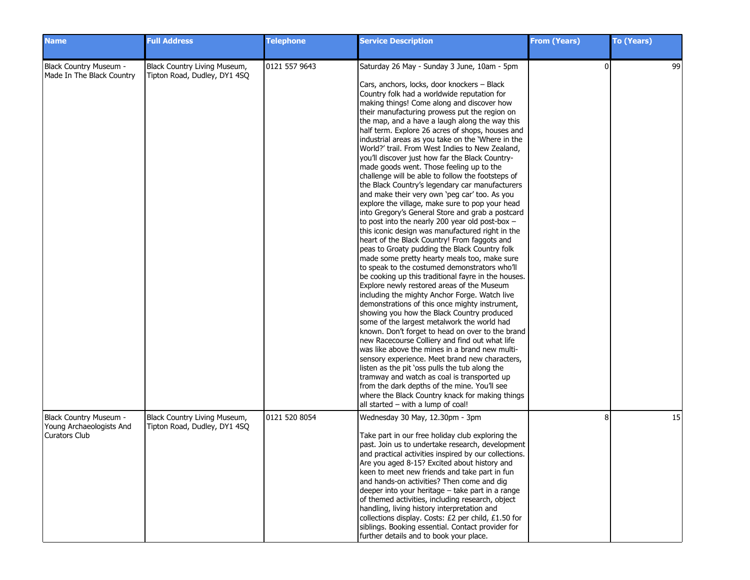| <b>Name</b>                                                         | <b>Full Address</b>                                          | <b>Telephone</b> | <b>Service Description</b>                                                                                                                                                                                                                                                                                                                                                                                                                                                                                                                                                                                                                                                                                                                                                                                                                                                                                                                                                                                                                                                                                                                                                                                                                                                                                                                                                                                                                                                                                                                                                                                                                                                                                                                                                                                                                                                              | <b>From (Years)</b> | <b>To (Years)</b> |
|---------------------------------------------------------------------|--------------------------------------------------------------|------------------|-----------------------------------------------------------------------------------------------------------------------------------------------------------------------------------------------------------------------------------------------------------------------------------------------------------------------------------------------------------------------------------------------------------------------------------------------------------------------------------------------------------------------------------------------------------------------------------------------------------------------------------------------------------------------------------------------------------------------------------------------------------------------------------------------------------------------------------------------------------------------------------------------------------------------------------------------------------------------------------------------------------------------------------------------------------------------------------------------------------------------------------------------------------------------------------------------------------------------------------------------------------------------------------------------------------------------------------------------------------------------------------------------------------------------------------------------------------------------------------------------------------------------------------------------------------------------------------------------------------------------------------------------------------------------------------------------------------------------------------------------------------------------------------------------------------------------------------------------------------------------------------------|---------------------|-------------------|
| Black Country Museum -<br>Made In The Black Country                 | Black Country Living Museum,<br>Tipton Road, Dudley, DY1 4SQ | 0121 557 9643    | Saturday 26 May - Sunday 3 June, 10am - 5pm<br>Cars, anchors, locks, door knockers - Black<br>Country folk had a worldwide reputation for<br>making things! Come along and discover how<br>their manufacturing prowess put the region on<br>the map, and a have a laugh along the way this<br>half term. Explore 26 acres of shops, houses and<br>industrial areas as you take on the 'Where in the<br>World?' trail. From West Indies to New Zealand,<br>you'll discover just how far the Black Country-<br>made goods went. Those feeling up to the<br>challenge will be able to follow the footsteps of<br>the Black Country's legendary car manufacturers<br>and make their very own 'peg car' too. As you<br>explore the village, make sure to pop your head<br>into Gregory's General Store and grab a postcard<br>to post into the nearly 200 year old post-box -<br>this iconic design was manufactured right in the<br>heart of the Black Country! From faggots and<br>peas to Groaty pudding the Black Country folk<br>made some pretty hearty meals too, make sure<br>to speak to the costumed demonstrators who'll<br>be cooking up this traditional fayre in the houses.<br>Explore newly restored areas of the Museum<br>including the mighty Anchor Forge. Watch live<br>demonstrations of this once mighty instrument,<br>showing you how the Black Country produced<br>some of the largest metalwork the world had<br>known. Don't forget to head on over to the brand<br>new Racecourse Colliery and find out what life<br>was like above the mines in a brand new multi-<br>sensory experience. Meet brand new characters,<br>listen as the pit 'oss pulls the tub along the<br>tramway and watch as coal is transported up<br>from the dark depths of the mine. You'll see<br>where the Black Country knack for making things<br>all started - with a lump of coal! | $\Omega$            | 99                |
| Black Country Museum -<br>Young Archaeologists And<br>Curators Club | Black Country Living Museum,<br>Tipton Road, Dudley, DY1 4SQ | 0121 520 8054    | Wednesday 30 May, 12.30pm - 3pm<br>Take part in our free holiday club exploring the<br>past. Join us to undertake research, development<br>and practical activities inspired by our collections.<br>Are you aged 8-15? Excited about history and<br>keen to meet new friends and take part in fun<br>and hands-on activities? Then come and dig<br>deeper into your heritage - take part in a range<br>of themed activities, including research, object<br>handling, living history interpretation and<br>collections display. Costs: £2 per child, £1.50 for<br>siblings. Booking essential. Contact provider for<br>further details and to book your place.                                                                                                                                                                                                                                                                                                                                                                                                                                                                                                                                                                                                                                                                                                                                                                                                                                                                                                                                                                                                                                                                                                                                                                                                                           | 8                   | 15                |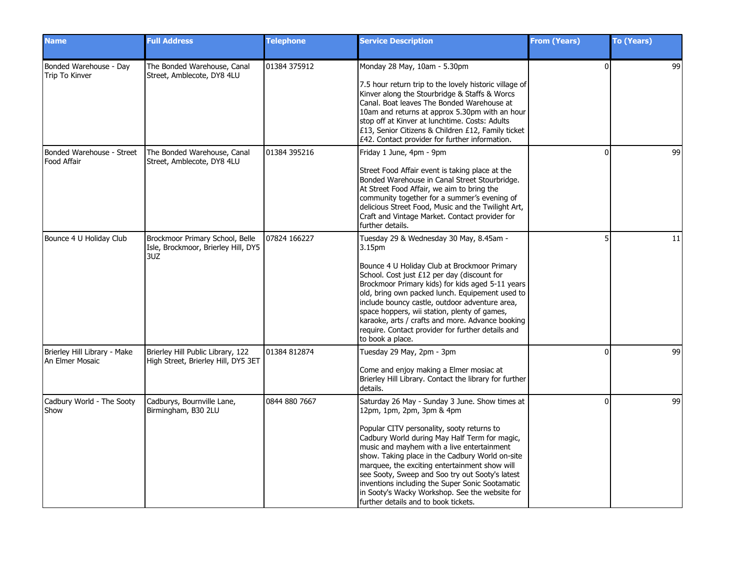| <b>Name</b>                                     | <b>Full Address</b>                                                           | <b>Telephone</b> | <b>Service Description</b>                                                                                                                                                                                                                                                                                                                                                                                                                                                                                                                     | <b>From (Years)</b> | To (Years) |
|-------------------------------------------------|-------------------------------------------------------------------------------|------------------|------------------------------------------------------------------------------------------------------------------------------------------------------------------------------------------------------------------------------------------------------------------------------------------------------------------------------------------------------------------------------------------------------------------------------------------------------------------------------------------------------------------------------------------------|---------------------|------------|
| Bonded Warehouse - Day<br>Trip To Kinver        | The Bonded Warehouse, Canal<br>Street, Amblecote, DY8 4LU                     | 01384 375912     | Monday 28 May, 10am - 5.30pm<br>7.5 hour return trip to the lovely historic village of<br>Kinver along the Stourbridge & Staffs & Worcs<br>Canal. Boat leaves The Bonded Warehouse at<br>10am and returns at approx 5.30pm with an hour<br>stop off at Kinver at lunchtime. Costs: Adults<br>£13, Senior Citizens & Children £12, Family ticket<br>£42. Contact provider for further information.                                                                                                                                              | $\Omega$            | 99         |
| Bonded Warehouse - Street<br>Food Affair        | The Bonded Warehouse, Canal<br>Street, Amblecote, DY8 4LU                     | 01384 395216     | Friday 1 June, 4pm - 9pm<br>Street Food Affair event is taking place at the<br>Bonded Warehouse in Canal Street Stourbridge.<br>At Street Food Affair, we aim to bring the<br>community together for a summer's evening of<br>delicious Street Food, Music and the Twilight Art,<br>Craft and Vintage Market. Contact provider for<br>further details.                                                                                                                                                                                         | $\Omega$            | 99         |
| Bounce 4 U Holiday Club                         | Brockmoor Primary School, Belle<br>Isle, Brockmoor, Brierley Hill, DY5<br>3UZ | 07824 166227     | Tuesday 29 & Wednesday 30 May, 8.45am -<br>3.15pm<br>Bounce 4 U Holiday Club at Brockmoor Primary<br>School. Cost just £12 per day (discount for<br>Brockmoor Primary kids) for kids aged 5-11 years<br>old, bring own packed lunch. Equipement used to<br>include bouncy castle, outdoor adventure area,<br>space hoppers, wii station, plenty of games,<br>karaoke, arts / crafts and more. Advance booking<br>require. Contact provider for further details and<br>to book a place.                                                         |                     | 11         |
| Brierley Hill Library - Make<br>An Elmer Mosaic | Brierley Hill Public Library, 122<br>High Street, Brierley Hill, DY5 3ET      | 01384 812874     | Tuesday 29 May, 2pm - 3pm<br>Come and enjoy making a Elmer mosiac at<br>Brierley Hill Library. Contact the library for further<br>details.                                                                                                                                                                                                                                                                                                                                                                                                     | <sup>0</sup>        | 99         |
| Cadbury World - The Sooty<br>Show               | Cadburys, Bournville Lane,<br>Birmingham, B30 2LU                             | 0844 880 7667    | Saturday 26 May - Sunday 3 June. Show times at<br>12 $pm$ , 1 $pm$ , 2 $pm$ , 3 $pm$ & 4 $pm$<br>Popular CITV personality, sooty returns to<br>Cadbury World during May Half Term for magic,<br>music and mayhem with a live entertainment<br>show. Taking place in the Cadbury World on-site<br>marquee, the exciting entertainment show will<br>see Sooty, Sweep and Soo try out Sooty's latest<br>inventions including the Super Sonic Sootamatic<br>in Sooty's Wacky Workshop. See the website for<br>further details and to book tickets. | $\Omega$            | 99         |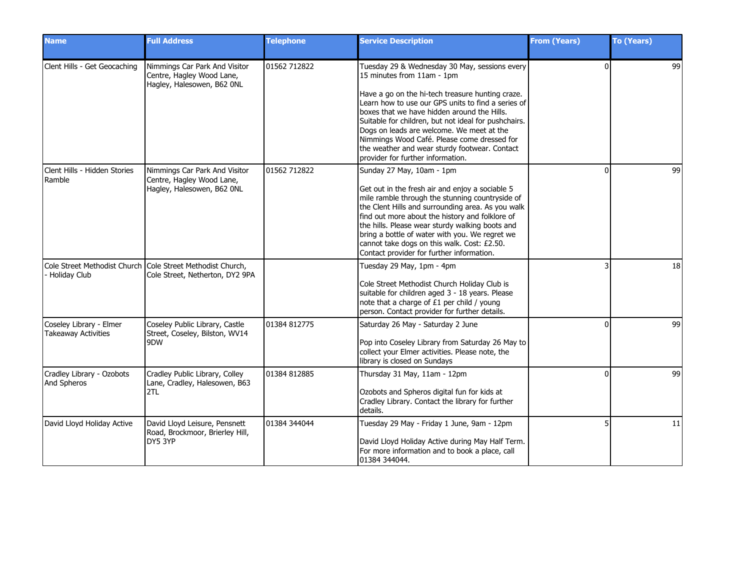| <b>Name</b>                                           | <b>Full Address</b>                                                                           | <b>Telephone</b> | <b>Service Description</b>                                                                                                                                                                                                                                                                                                                                                                                                                                                     | <b>From (Years)</b> | <b>To (Years)</b> |
|-------------------------------------------------------|-----------------------------------------------------------------------------------------------|------------------|--------------------------------------------------------------------------------------------------------------------------------------------------------------------------------------------------------------------------------------------------------------------------------------------------------------------------------------------------------------------------------------------------------------------------------------------------------------------------------|---------------------|-------------------|
| Clent Hills - Get Geocaching                          | Nimmings Car Park And Visitor<br>Centre, Hagley Wood Lane,<br>Hagley, Halesowen, B62 ONL      | 01562 712822     | Tuesday 29 & Wednesday 30 May, sessions every<br>15 minutes from 11am - 1pm<br>Have a go on the hi-tech treasure hunting craze.<br>Learn how to use our GPS units to find a series of<br>boxes that we have hidden around the Hills.<br>Suitable for children, but not ideal for pushchairs.<br>Dogs on leads are welcome. We meet at the<br>Nimmings Wood Café. Please come dressed for<br>the weather and wear sturdy footwear. Contact<br>provider for further information. | $\Omega$            | 99                |
| Clent Hills - Hidden Stories<br>Ramble                | Nimmings Car Park And Visitor<br>Centre, Hagley Wood Lane,<br>Hagley, Halesowen, B62 ONL      | 01562 712822     | Sunday 27 May, 10am - 1pm<br>Get out in the fresh air and enjoy a sociable 5<br>mile ramble through the stunning countryside of<br>the Clent Hills and surrounding area. As you walk<br>find out more about the history and folklore of<br>the hills. Please wear sturdy walking boots and<br>bring a bottle of water with you. We regret we<br>cannot take dogs on this walk. Cost: £2.50.<br>Contact provider for further information.                                       | $\Omega$            | 99                |
| - Holiday Club                                        | Cole Street Methodist Church Cole Street Methodist Church,<br>Cole Street, Netherton, DY2 9PA |                  | Tuesday 29 May, 1pm - 4pm<br>Cole Street Methodist Church Holiday Club is<br>suitable for children aged 3 - 18 years. Please<br>note that a charge of £1 per child / young<br>person. Contact provider for further details.                                                                                                                                                                                                                                                    |                     | 18                |
| Coseley Library - Elmer<br><b>Takeaway Activities</b> | Coseley Public Library, Castle<br>Street, Coseley, Bilston, WV14<br>9DW                       | 01384 812775     | Saturday 26 May - Saturday 2 June<br>Pop into Coseley Library from Saturday 26 May to<br>collect your Elmer activities. Please note, the<br>library is closed on Sundays                                                                                                                                                                                                                                                                                                       | $\Omega$            | 99                |
| Cradley Library - Ozobots<br>And Spheros              | Cradley Public Library, Colley<br>Lane, Cradley, Halesowen, B63<br>2TL                        | 01384 812885     | Thursday 31 May, 11am - 12pm<br>Ozobots and Spheros digital fun for kids at<br>Cradley Library. Contact the library for further<br>details.                                                                                                                                                                                                                                                                                                                                    | $\Omega$            | 99                |
| David Lloyd Holiday Active                            | David Lloyd Leisure, Pensnett<br>Road, Brockmoor, Brierley Hill,<br>DY5 3YP                   | 01384 344044     | Tuesday 29 May - Friday 1 June, 9am - 12pm<br>David Lloyd Holiday Active during May Half Term.<br>For more information and to book a place, call<br>01384 344044.                                                                                                                                                                                                                                                                                                              |                     | 11                |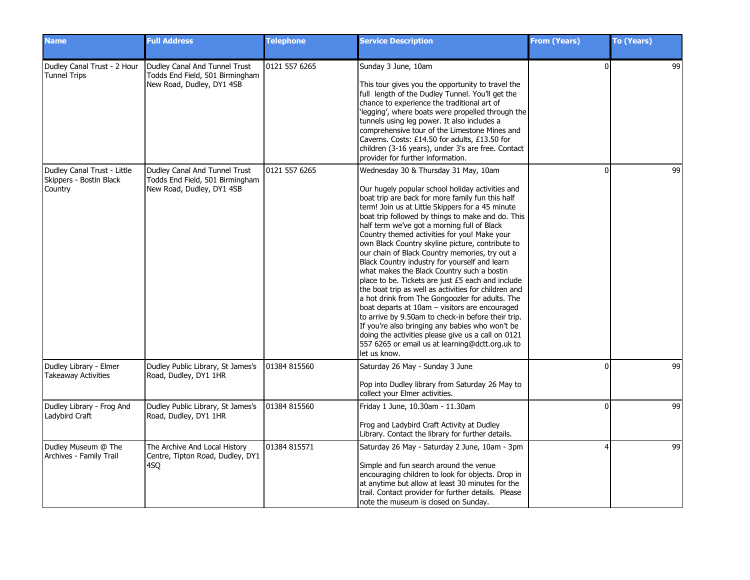| <b>Name</b>                                                       | <b>Full Address</b>                                                                           | <b>Telephone</b> | <b>Service Description</b>                                                                                                                                                                                                                                                                                                                                                                                                                                                                                                                                                                                                                                                                                                                                                                                                                                                                                                                                                                                    | <b>From (Years)</b> | <b>To (Years)</b> |
|-------------------------------------------------------------------|-----------------------------------------------------------------------------------------------|------------------|---------------------------------------------------------------------------------------------------------------------------------------------------------------------------------------------------------------------------------------------------------------------------------------------------------------------------------------------------------------------------------------------------------------------------------------------------------------------------------------------------------------------------------------------------------------------------------------------------------------------------------------------------------------------------------------------------------------------------------------------------------------------------------------------------------------------------------------------------------------------------------------------------------------------------------------------------------------------------------------------------------------|---------------------|-------------------|
| Dudley Canal Trust - 2 Hour<br><b>Tunnel Trips</b>                | Dudley Canal And Tunnel Trust<br>Todds End Field, 501 Birmingham<br>New Road, Dudley, DY1 4SB | 0121 557 6265    | Sunday 3 June, 10am<br>This tour gives you the opportunity to travel the<br>full length of the Dudley Tunnel. You'll get the<br>chance to experience the traditional art of<br>'legging', where boats were propelled through the<br>tunnels using leg power. It also includes a<br>comprehensive tour of the Limestone Mines and<br>Caverns. Costs: £14.50 for adults, £13.50 for<br>children (3-16 years), under 3's are free. Contact<br>provider for further information.                                                                                                                                                                                                                                                                                                                                                                                                                                                                                                                                  | $\Omega$            | 99                |
| Dudley Canal Trust - Little<br>Skippers - Bostin Black<br>Country | Dudley Canal And Tunnel Trust<br>Todds End Field, 501 Birmingham<br>New Road, Dudley, DY1 4SB | 0121 557 6265    | Wednesday 30 & Thursday 31 May, 10am<br>Our hugely popular school holiday activities and<br>boat trip are back for more family fun this half<br>term! Join us at Little Skippers for a 45 minute<br>boat trip followed by things to make and do. This<br>half term we've got a morning full of Black<br>Country themed activities for you! Make your<br>own Black Country skyline picture, contribute to<br>our chain of Black Country memories, try out a<br>Black Country industry for yourself and learn<br>what makes the Black Country such a bostin<br>place to be. Tickets are just £5 each and include<br>the boat trip as well as activities for children and<br>a hot drink from The Gongoozler for adults. The<br>boat departs at 10am - visitors are encouraged<br>to arrive by 9.50am to check-in before their trip.<br>If you're also bringing any babies who won't be<br>doing the activities please give us a call on 0121<br>557 6265 or email us at learning@dctt.org.uk to<br>let us know. | $\Omega$            | 99                |
| Dudley Library - Elmer<br>Takeaway Activities                     | Dudley Public Library, St James's<br>Road, Dudley, DY1 1HR                                    | 01384 815560     | Saturday 26 May - Sunday 3 June<br>Pop into Dudley library from Saturday 26 May to<br>collect your Elmer activities.                                                                                                                                                                                                                                                                                                                                                                                                                                                                                                                                                                                                                                                                                                                                                                                                                                                                                          | $\Omega$            | 99                |
| Dudley Library - Frog And<br>Ladybird Craft                       | Dudley Public Library, St James's<br>Road, Dudley, DY1 1HR                                    | 01384 815560     | Friday 1 June, 10.30am - 11.30am<br>Frog and Ladybird Craft Activity at Dudley<br>Library. Contact the library for further details.                                                                                                                                                                                                                                                                                                                                                                                                                                                                                                                                                                                                                                                                                                                                                                                                                                                                           | $\Omega$            | 99                |
| Dudley Museum @ The<br>Archives - Family Trail                    | The Archive And Local History<br>Centre, Tipton Road, Dudley, DY1<br>4SQ                      | 01384 815571     | Saturday 26 May - Saturday 2 June, 10am - 3pm<br>Simple and fun search around the venue<br>encouraging children to look for objects. Drop in<br>at anytime but allow at least 30 minutes for the<br>trail. Contact provider for further details. Please<br>note the museum is closed on Sunday.                                                                                                                                                                                                                                                                                                                                                                                                                                                                                                                                                                                                                                                                                                               |                     | 99                |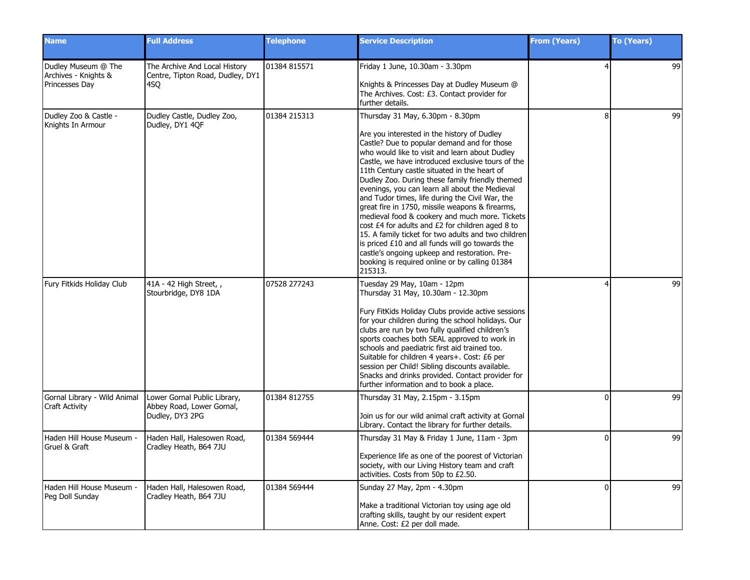| <b>Name</b>                                                   | <b>Full Address</b>                                                          | <b>Telephone</b> | <b>Service Description</b>                                                                                                                                                                                                                                                                                                                                                                                                                                                                                                                                                                                                                                                                                                                                                                                                     | <b>From (Years)</b> | To (Years) |
|---------------------------------------------------------------|------------------------------------------------------------------------------|------------------|--------------------------------------------------------------------------------------------------------------------------------------------------------------------------------------------------------------------------------------------------------------------------------------------------------------------------------------------------------------------------------------------------------------------------------------------------------------------------------------------------------------------------------------------------------------------------------------------------------------------------------------------------------------------------------------------------------------------------------------------------------------------------------------------------------------------------------|---------------------|------------|
| Dudley Museum @ The<br>Archives - Knights &<br>Princesses Day | The Archive And Local History<br>Centre, Tipton Road, Dudley, DY1<br>4SQ     | 01384 815571     | Friday 1 June, 10.30am - 3.30pm<br>Knights & Princesses Day at Dudley Museum @<br>The Archives. Cost: £3. Contact provider for<br>further details.                                                                                                                                                                                                                                                                                                                                                                                                                                                                                                                                                                                                                                                                             | 4                   | 99         |
| Dudley Zoo & Castle -<br>Knights In Armour                    | Dudley Castle, Dudley Zoo,<br>Dudley, DY1 4OF                                | 01384 215313     | Thursday 31 May, 6.30pm - 8.30pm<br>Are you interested in the history of Dudley<br>Castle? Due to popular demand and for those<br>who would like to visit and learn about Dudley<br>Castle, we have introduced exclusive tours of the<br>11th Century castle situated in the heart of<br>Dudley Zoo. During these family friendly themed<br>evenings, you can learn all about the Medieval<br>and Tudor times, life during the Civil War, the<br>great fire in 1750, missile weapons & firearms,<br>medieval food & cookery and much more. Tickets<br>cost £4 for adults and £2 for children aged 8 to<br>15. A family ticket for two adults and two children<br>is priced £10 and all funds will go towards the<br>castle's ongoing upkeep and restoration. Pre-<br>booking is required online or by calling 01384<br>215313. | 8                   | 99         |
| Fury Fitkids Holiday Club                                     | 41A - 42 High Street, ,<br>Stourbridge, DY8 1DA                              | 07528 277243     | Tuesday 29 May, 10am - 12pm<br>Thursday 31 May, 10.30am - 12.30pm<br>Fury FitKids Holiday Clubs provide active sessions<br>for your children during the school holidays. Our<br>clubs are run by two fully qualified children's<br>sports coaches both SEAL approved to work in<br>schools and paediatric first aid trained too.<br>Suitable for children 4 years+. Cost: £6 per<br>session per Child! Sibling discounts available.<br>Snacks and drinks provided. Contact provider for<br>further information and to book a place.                                                                                                                                                                                                                                                                                            |                     | 99         |
| Gornal Library - Wild Animal<br><b>Craft Activity</b>         | Lower Gornal Public Library,<br>Abbey Road, Lower Gornal,<br>Dudley, DY3 2PG | 01384 812755     | Thursday 31 May, 2.15pm - 3.15pm<br>Join us for our wild animal craft activity at Gornal<br>Library. Contact the library for further details.                                                                                                                                                                                                                                                                                                                                                                                                                                                                                                                                                                                                                                                                                  | $\Omega$            | 99         |
| Haden Hill House Museum -<br>Gruel & Graft                    | Haden Hall, Halesowen Road,<br>Cradley Heath, B64 7JU                        | 01384 569444     | Thursday 31 May & Friday 1 June, 11am - 3pm<br>Experience life as one of the poorest of Victorian<br>society, with our Living History team and craft<br>activities. Costs from 50p to £2.50.                                                                                                                                                                                                                                                                                                                                                                                                                                                                                                                                                                                                                                   | $\Omega$            | 99         |
| Haden Hill House Museum -<br>Peg Doll Sunday                  | Haden Hall, Halesowen Road,<br>Cradley Heath, B64 7JU                        | 01384 569444     | Sunday 27 May, 2pm - 4.30pm<br>Make a traditional Victorian toy using age old<br>crafting skills, taught by our resident expert<br>Anne. Cost: £2 per doll made.                                                                                                                                                                                                                                                                                                                                                                                                                                                                                                                                                                                                                                                               | $\Omega$            | 99         |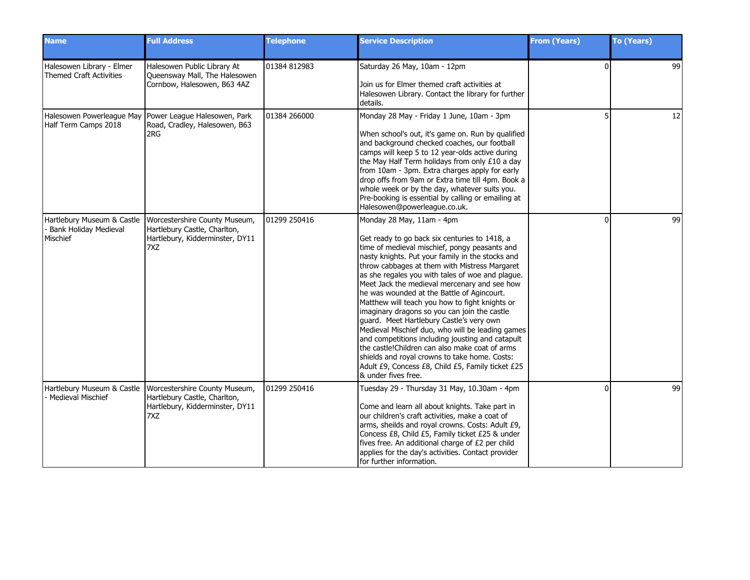| <b>Name</b>                                                            | <b>Full Address</b>                                                                                            | <b>Telephone</b> | <b>Service Description</b>                                                                                                                                                                                                                                                                                                                                                                                                                                                                                                                                                                                                                                                                                                                                                                                               | <b>From (Years)</b> | <b>To (Years)</b> |
|------------------------------------------------------------------------|----------------------------------------------------------------------------------------------------------------|------------------|--------------------------------------------------------------------------------------------------------------------------------------------------------------------------------------------------------------------------------------------------------------------------------------------------------------------------------------------------------------------------------------------------------------------------------------------------------------------------------------------------------------------------------------------------------------------------------------------------------------------------------------------------------------------------------------------------------------------------------------------------------------------------------------------------------------------------|---------------------|-------------------|
| Halesowen Library - Elmer<br>Themed Craft Activities                   | Halesowen Public Library At<br>Queensway Mall, The Halesowen<br>Cornbow, Halesowen, B63 4AZ                    | 01384 812983     | Saturday 26 May, 10am - 12pm<br>Join us for Elmer themed craft activities at<br>Halesowen Library. Contact the library for further<br>details.                                                                                                                                                                                                                                                                                                                                                                                                                                                                                                                                                                                                                                                                           | $\Omega$            | 99                |
| Half Term Camps 2018                                                   | Halesowen Powerleague May Power League Halesowen, Park<br>Road, Cradley, Halesowen, B63<br>2RG                 | 01384 266000     | Monday 28 May - Friday 1 June, 10am - 3pm<br>When school's out, it's game on. Run by qualified<br>and background checked coaches, our football<br>camps will keep 5 to 12 year-olds active during<br>the May Half Term holidays from only £10 a day<br>from 10am - 3pm. Extra charges apply for early<br>drop offs from 9am or Extra time till 4pm. Book a<br>whole week or by the day, whatever suits you.<br>Pre-booking is essential by calling or emailing at<br>Halesowen@powerleague.co.uk.                                                                                                                                                                                                                                                                                                                        |                     | 12                |
| Hartlebury Museum & Castle<br><b>Bank Holiday Medieval</b><br>Mischief | Worcestershire County Museum,<br>Hartlebury Castle, Charlton,<br>Hartlebury, Kidderminster, DY11<br>7XZ        | 01299 250416     | Monday 28 May, 11am - 4pm<br>Get ready to go back six centuries to 1418, a<br>time of medieval mischief, pongy peasants and<br>nasty knights. Put your family in the stocks and<br>throw cabbages at them with Mistress Margaret<br>as she regales you with tales of woe and plague.<br>Meet Jack the medieval mercenary and see how<br>he was wounded at the Battle of Agincourt.<br>Matthew will teach you how to fight knights or<br>imaginary dragons so you can join the castle<br>guard. Meet Hartlebury Castle's very own<br>Medieval Mischief duo, who will be leading games<br>and competitions including jousting and catapult<br>the castle! Children can also make coat of arms<br>shields and royal crowns to take home. Costs:<br>Adult £9, Concess £8, Child £5, Family ticket £25<br>& under fives free. | O                   | 99                |
| Hartlebury Museum & Castle<br>Medieval Mischief                        | Worcestershire County Museum,<br>Hartlebury Castle, Charlton,<br>Hartlebury, Kidderminster, DY11<br><b>7XZ</b> | 01299 250416     | Tuesday 29 - Thursday 31 May, 10.30am - 4pm<br>Come and learn all about knights. Take part in<br>our children's craft activities, make a coat of<br>arms, sheilds and royal crowns. Costs: Adult £9,<br>Concess £8, Child £5, Family ticket £25 & under<br>fives free. An additional charge of £2 per child<br>applies for the day's activities. Contact provider<br>lfor further information.                                                                                                                                                                                                                                                                                                                                                                                                                           | ŋ                   | 99                |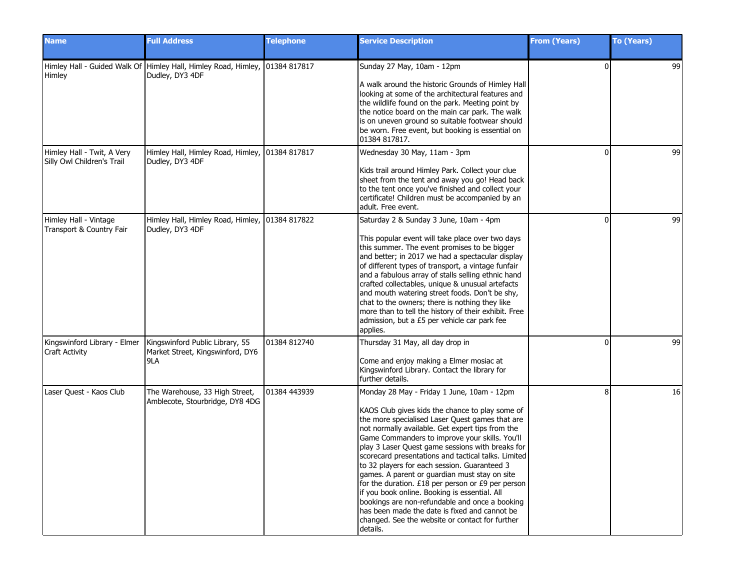| <b>Name</b>                                              | <b>Full Address</b>                                                                             | <b>Telephone</b> | <b>Service Description</b>                                                                                                                                                                                                                                                                                                                                                                                                                                                                                                                                                                                                                                                                                                                 | <b>From (Years)</b> | <b>To (Years)</b> |
|----------------------------------------------------------|-------------------------------------------------------------------------------------------------|------------------|--------------------------------------------------------------------------------------------------------------------------------------------------------------------------------------------------------------------------------------------------------------------------------------------------------------------------------------------------------------------------------------------------------------------------------------------------------------------------------------------------------------------------------------------------------------------------------------------------------------------------------------------------------------------------------------------------------------------------------------------|---------------------|-------------------|
| Himley                                                   | Himley Hall - Guided Walk Of Himley Hall, Himley Road, Himley, 101384 817817<br>Dudley, DY3 4DF |                  | Sunday 27 May, 10am - 12pm<br>A walk around the historic Grounds of Himley Hall<br>looking at some of the architectural features and<br>the wildlife found on the park. Meeting point by<br>the notice board on the main car park. The walk<br>is on uneven ground so suitable footwear should<br>be worn. Free event, but booking is essential on<br>01384 817817.                                                                                                                                                                                                                                                                                                                                                                        | $\Omega$            | -99               |
| Himley Hall - Twit, A Very<br>Silly Owl Children's Trail | Himley Hall, Himley Road, Himley, 01384 817817<br>Dudley, DY3 4DF                               |                  | Wednesday 30 May, 11am - 3pm<br>Kids trail around Himley Park. Collect your clue<br>sheet from the tent and away you go! Head back<br>to the tent once you've finished and collect your<br>certificate! Children must be accompanied by an<br>adult. Free event.                                                                                                                                                                                                                                                                                                                                                                                                                                                                           | $\Omega$            | 99                |
| Himley Hall - Vintage<br>Transport & Country Fair        | Himley Hall, Himley Road, Himley, 01384 817822<br>Dudley, DY3 4DF                               |                  | Saturday 2 & Sunday 3 June, 10am - 4pm<br>This popular event will take place over two days<br>this summer. The event promises to be bigger<br>and better; in 2017 we had a spectacular display<br>of different types of transport, a vintage funfair<br>and a fabulous array of stalls selling ethnic hand<br>crafted collectables, unique & unusual artefacts<br>and mouth watering street foods. Don't be shy,<br>chat to the owners; there is nothing they like<br>more than to tell the history of their exhibit. Free<br>admission, but a £5 per vehicle car park fee<br>applies.                                                                                                                                                     | $\Omega$            | 99                |
| Kingswinford Library - Elmer<br><b>Craft Activity</b>    | Kingswinford Public Library, 55<br>Market Street, Kingswinford, DY6<br>9LA                      | 01384 812740     | Thursday 31 May, all day drop in<br>Come and enjoy making a Elmer mosiac at<br>Kingswinford Library. Contact the library for<br>further details.                                                                                                                                                                                                                                                                                                                                                                                                                                                                                                                                                                                           | ŋ                   | 99                |
| Laser Quest - Kaos Club                                  | The Warehouse, 33 High Street,<br>Amblecote, Stourbridge, DY8 4DG                               | 01384 443939     | Monday 28 May - Friday 1 June, 10am - 12pm<br>KAOS Club gives kids the chance to play some of<br>the more specialised Laser Quest games that are<br>not normally available. Get expert tips from the<br>Game Commanders to improve your skills. You'll<br>play 3 Laser Quest game sessions with breaks for<br>scorecard presentations and tactical talks. Limited<br>to 32 players for each session. Guaranteed 3<br>games. A parent or guardian must stay on site<br>for the duration. £18 per person or £9 per person<br>if you book online. Booking is essential. All<br>bookings are non-refundable and once a booking<br>has been made the date is fixed and cannot be<br>changed. See the website or contact for further<br>details. | Я                   | 16                |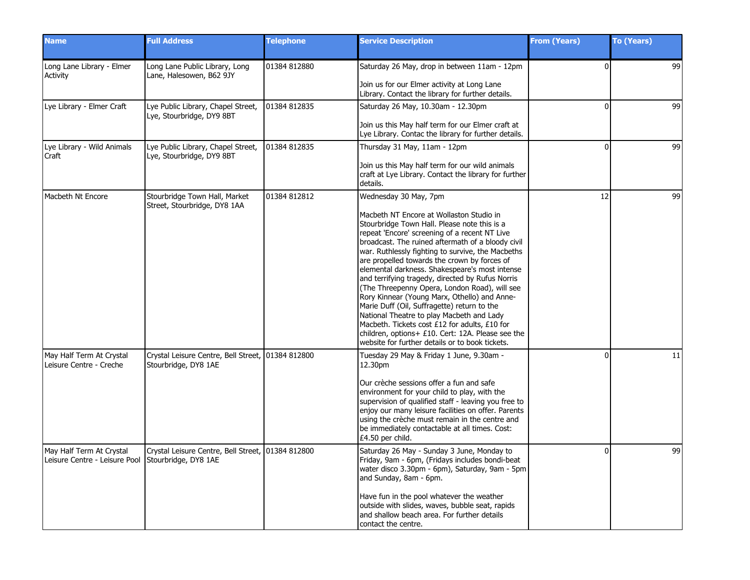| <b>Name</b>                                               | <b>Full Address</b>                                                       | <b>Telephone</b> | <b>Service Description</b>                                                                                                                                                                                                                                                                                                                                                                                                                                                                                                                                                                                                                                                                                                                                                               | <b>From (Years)</b> | To (Years) |
|-----------------------------------------------------------|---------------------------------------------------------------------------|------------------|------------------------------------------------------------------------------------------------------------------------------------------------------------------------------------------------------------------------------------------------------------------------------------------------------------------------------------------------------------------------------------------------------------------------------------------------------------------------------------------------------------------------------------------------------------------------------------------------------------------------------------------------------------------------------------------------------------------------------------------------------------------------------------------|---------------------|------------|
| Long Lane Library - Elmer<br>Activity                     | Long Lane Public Library, Long<br>Lane, Halesowen, B62 9JY                | 01384 812880     | Saturday 26 May, drop in between 11am - 12pm<br>Join us for our Elmer activity at Long Lane<br>Library. Contact the library for further details.                                                                                                                                                                                                                                                                                                                                                                                                                                                                                                                                                                                                                                         | $\Omega$            | 99         |
| Lye Library - Elmer Craft                                 | Lye Public Library, Chapel Street,<br>Lye, Stourbridge, DY9 8BT           | 01384 812835     | Saturday 26 May, 10.30am - 12.30pm<br>Join us this May half term for our Elmer craft at<br>Lye Library. Contac the library for further details.                                                                                                                                                                                                                                                                                                                                                                                                                                                                                                                                                                                                                                          | $\Omega$            | 99         |
| Lye Library - Wild Animals<br>Craft                       | Lye Public Library, Chapel Street,<br>Lye, Stourbridge, DY9 8BT           | 01384 812835     | Thursday 31 May, 11am - 12pm<br>Join us this May half term for our wild animals<br>craft at Lye Library. Contact the library for further<br>details.                                                                                                                                                                                                                                                                                                                                                                                                                                                                                                                                                                                                                                     | $\Omega$            | 99         |
| Macbeth Nt Encore                                         | Stourbridge Town Hall, Market<br>Street, Stourbridge, DY8 1AA             | 01384 812812     | Wednesday 30 May, 7pm<br>Macbeth NT Encore at Wollaston Studio in<br>Stourbridge Town Hall. Please note this is a<br>repeat 'Encore' screening of a recent NT Live<br>broadcast. The ruined aftermath of a bloody civil<br>war. Ruthlessly fighting to survive, the Macbeths<br>are propelled towards the crown by forces of<br>elemental darkness. Shakespeare's most intense<br>and terrifying tragedy, directed by Rufus Norris<br>(The Threepenny Opera, London Road), will see<br>Rory Kinnear (Young Marx, Othello) and Anne-<br>Marie Duff (Oil, Suffragette) return to the<br>National Theatre to play Macbeth and Lady<br>Macbeth. Tickets cost £12 for adults, £10 for<br>children, options+ £10. Cert: 12A. Please see the<br>website for further details or to book tickets. | 12                  | 99         |
| May Half Term At Crystal<br>Leisure Centre - Creche       | Crystal Leisure Centre, Bell Street, 01384 812800<br>Stourbridge, DY8 1AE |                  | Tuesday 29 May & Friday 1 June, 9.30am -<br>12.30pm<br>Our crèche sessions offer a fun and safe<br>environment for your child to play, with the<br>supervision of qualified staff - leaving you free to<br>enjoy our many leisure facilities on offer. Parents<br>using the crèche must remain in the centre and<br>be immediately contactable at all times. Cost:<br>£4.50 per child.                                                                                                                                                                                                                                                                                                                                                                                                   | $\Omega$            | 11         |
| May Half Term At Crystal<br>Leisure Centre - Leisure Pool | Crystal Leisure Centre, Bell Street, 01384 812800<br>Stourbridge, DY8 1AE |                  | Saturday 26 May - Sunday 3 June, Monday to<br>Friday, 9am - 6pm, (Fridays includes bondi-beat<br>water disco 3.30pm - 6pm), Saturday, 9am - 5pm<br>and Sunday, 8am - 6pm.<br>Have fun in the pool whatever the weather<br>outside with slides, waves, bubble seat, rapids<br>and shallow beach area. For further details<br>contact the centre.                                                                                                                                                                                                                                                                                                                                                                                                                                          | $\Omega$            | 99         |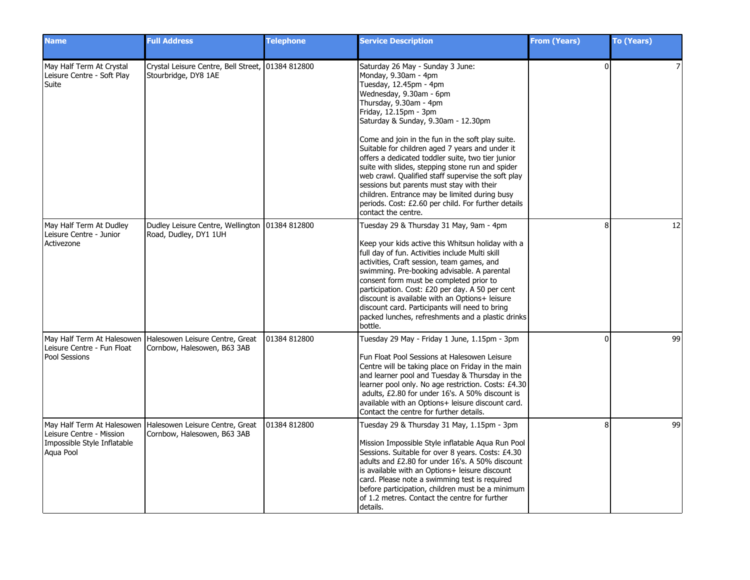| <b>Name</b>                                                                                        | <b>Full Address</b>                                                       | <b>Telephone</b> | <b>Service Description</b>                                                                                                                                                                                                                                                                                                                                                                                                                                                                                                                                                                                                                                | <b>From (Years)</b> | <b>To (Years)</b> |
|----------------------------------------------------------------------------------------------------|---------------------------------------------------------------------------|------------------|-----------------------------------------------------------------------------------------------------------------------------------------------------------------------------------------------------------------------------------------------------------------------------------------------------------------------------------------------------------------------------------------------------------------------------------------------------------------------------------------------------------------------------------------------------------------------------------------------------------------------------------------------------------|---------------------|-------------------|
| May Half Term At Crystal<br>Leisure Centre - Soft Play<br>Suite                                    | Crystal Leisure Centre, Bell Street, 01384 812800<br>Stourbridge, DY8 1AE |                  | Saturday 26 May - Sunday 3 June:<br>Monday, 9.30am - 4pm<br>Tuesday, 12.45pm - 4pm<br>Wednesday, 9.30am - 6pm<br>Thursday, 9.30am - 4pm<br>Friday, 12.15pm - 3pm<br>Saturday & Sunday, 9.30am - 12.30pm<br>Come and join in the fun in the soft play suite.<br>Suitable for children aged 7 years and under it<br>offers a dedicated toddler suite, two tier junior<br>suite with slides, stepping stone run and spider<br>web crawl. Qualified staff supervise the soft play<br>sessions but parents must stay with their<br>children. Entrance may be limited during busy<br>periods. Cost: £2.60 per child. For further details<br>contact the centre. | $\Omega$            | 7                 |
| May Half Term At Dudley<br>Leisure Centre - Junior<br>Activezone                                   | Dudley Leisure Centre, Wellington   01384 812800<br>Road, Dudley, DY1 1UH |                  | Tuesday 29 & Thursday 31 May, 9am - 4pm<br>Keep your kids active this Whitsun holiday with a<br>full day of fun. Activities include Multi skill<br>activities, Craft session, team games, and<br>swimming. Pre-booking advisable. A parental<br>consent form must be completed prior to<br>participation. Cost: £20 per day. A 50 per cent<br>discount is available with an Options+ leisure<br>discount card. Participants will need to bring<br>packed lunches, refreshments and a plastic drinks<br>bottle.                                                                                                                                            | 8                   | 12                |
| May Half Term At Halesowen<br>Leisure Centre - Fun Float<br>Pool Sessions                          | Halesowen Leisure Centre, Great<br>Cornbow, Halesowen, B63 3AB            | 01384 812800     | Tuesday 29 May - Friday 1 June, 1.15pm - 3pm<br>Fun Float Pool Sessions at Halesowen Leisure<br>Centre will be taking place on Friday in the main<br>and learner pool and Tuesday & Thursday in the<br>learner pool only. No age restriction. Costs: £4.30<br>adults, £2.80 for under 16's. A 50% discount is<br>available with an Options+ leisure discount card.<br>Contact the centre for further details.                                                                                                                                                                                                                                             | 0                   | 99                |
| May Half Term At Halesowen<br>Leisure Centre - Mission<br>Impossible Style Inflatable<br>Aqua Pool | Halesowen Leisure Centre, Great<br>Cornbow, Halesowen, B63 3AB            | 01384 812800     | Tuesday 29 & Thursday 31 May, 1.15pm - 3pm<br>Mission Impossible Style inflatable Aqua Run Pool<br>Sessions. Suitable for over 8 years. Costs: £4.30<br>adults and £2.80 for under 16's. A 50% discount<br>is available with an Options+ leisure discount<br>card. Please note a swimming test is required<br>before participation, children must be a minimum<br>of 1.2 metres. Contact the centre for further<br>details.                                                                                                                                                                                                                               | 8                   | 99                |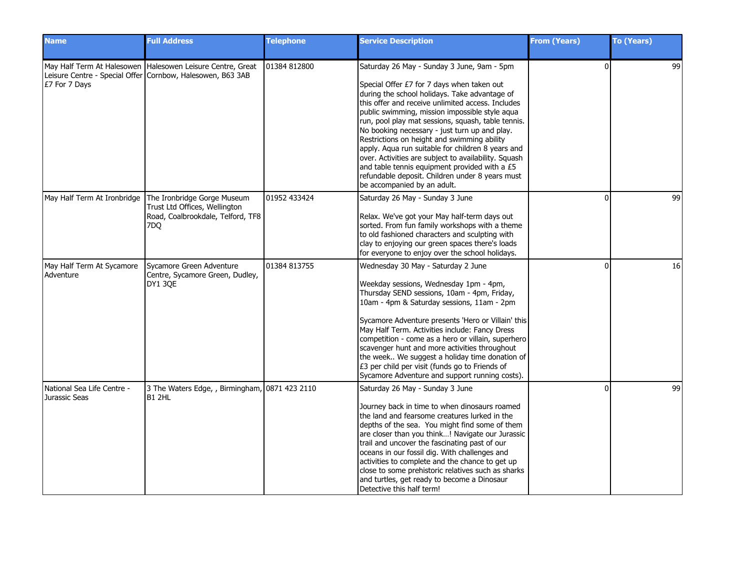| <b>Name</b>                                 | <b>Full Address</b>                                                                                                                  | <b>Telephone</b> | <b>Service Description</b>                                                                                                                                                                                                                                                                                                                                                                                                                                                                                                                                                                                                                             | <b>From (Years)</b> | <b>To (Years)</b> |
|---------------------------------------------|--------------------------------------------------------------------------------------------------------------------------------------|------------------|--------------------------------------------------------------------------------------------------------------------------------------------------------------------------------------------------------------------------------------------------------------------------------------------------------------------------------------------------------------------------------------------------------------------------------------------------------------------------------------------------------------------------------------------------------------------------------------------------------------------------------------------------------|---------------------|-------------------|
| E7 For 7 Days                               | May Half Term At Halesowen   Halesowen Leisure Centre, Great<br>Leisure Centre - Special Offer Cornbow, Halesowen, B63 3AB           | 101384 812800    | Saturday 26 May - Sunday 3 June, 9am - 5pm<br>Special Offer £7 for 7 days when taken out<br>during the school holidays. Take advantage of<br>this offer and receive unlimited access. Includes<br>public swimming, mission impossible style aqua<br>run, pool play mat sessions, squash, table tennis.<br>No booking necessary - just turn up and play.<br>Restrictions on height and swimming ability<br>apply. Aqua run suitable for children 8 years and<br>over. Activities are subject to availability. Squash<br>and table tennis equipment provided with a £5<br>refundable deposit. Children under 8 years must<br>be accompanied by an adult. | $\Omega$            | 99                |
|                                             | May Half Term At Ironbridge The Ironbridge Gorge Museum<br>Trust Ltd Offices, Wellington<br>Road, Coalbrookdale, Telford, TF8<br>7DO | 01952 433424     | Saturday 26 May - Sunday 3 June<br>Relax. We've got your May half-term days out<br>sorted. From fun family workshops with a theme<br>to old fashioned characters and sculpting with<br>clay to enjoying our green spaces there's loads<br>for everyone to enjoy over the school holidays.                                                                                                                                                                                                                                                                                                                                                              | $\Omega$            | 99                |
| May Half Term At Sycamore<br>Adventure      | Sycamore Green Adventure<br>Centre, Sycamore Green, Dudley,<br>DY1 3QE                                                               | 01384 813755     | Wednesday 30 May - Saturday 2 June<br>Weekday sessions, Wednesday 1pm - 4pm,<br>Thursday SEND sessions, 10am - 4pm, Friday,<br>10am - 4pm & Saturday sessions, 11am - 2pm<br>Sycamore Adventure presents 'Hero or Villain' this<br>May Half Term. Activities include: Fancy Dress<br>competition - come as a hero or villain, superhero<br>scavenger hunt and more activities throughout<br>the week We suggest a holiday time donation of<br>£3 per child per visit (funds go to Friends of<br>Sycamore Adventure and support running costs).                                                                                                         | $\Omega$            | 16                |
| National Sea Life Centre -<br>Jurassic Seas | 3 The Waters Edge, , Birmingham, 0871 423 2110<br>IB1 2HL                                                                            |                  | Saturday 26 May - Sunday 3 June<br>Journey back in time to when dinosaurs roamed<br>the land and fearsome creatures lurked in the<br>depths of the sea. You might find some of them<br>are closer than you think! Navigate our Jurassic<br>trail and uncover the fascinating past of our<br>oceans in our fossil dig. With challenges and<br>activities to complete and the chance to get up<br>close to some prehistoric relatives such as sharks<br>and turtles, get ready to become a Dinosaur<br>Detective this half term!                                                                                                                         | $\Omega$            | 99                |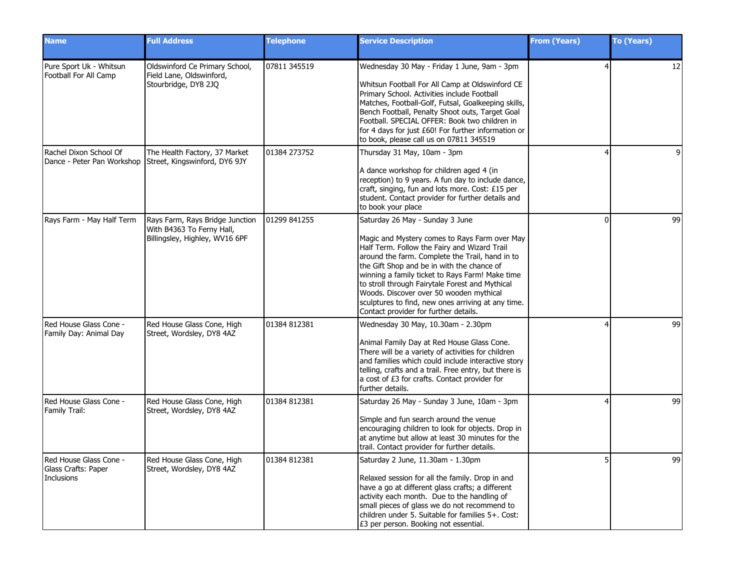| <b>Name</b>                                                 | <b>Full Address</b>                                                                            | <b>Telephone</b> | <b>Service Description</b>                                                                                                                                                                                                                                                                                                                                                                                                                                                        | <b>From (Years)</b> | <b>To (Years)</b> |
|-------------------------------------------------------------|------------------------------------------------------------------------------------------------|------------------|-----------------------------------------------------------------------------------------------------------------------------------------------------------------------------------------------------------------------------------------------------------------------------------------------------------------------------------------------------------------------------------------------------------------------------------------------------------------------------------|---------------------|-------------------|
| Pure Sport Uk - Whitsun<br>Football For All Camp            | Oldswinford Ce Primary School,<br>Field Lane, Oldswinford,<br>Stourbridge, DY8 2JO             | 07811 345519     | Wednesday 30 May - Friday 1 June, 9am - 3pm<br>Whitsun Football For All Camp at Oldswinford CE<br>Primary School. Activities include Football<br>Matches, Football-Golf, Futsal, Goalkeeping skills,<br>Bench Football, Penalty Shoot outs, Target Goal<br>Football. SPECIAL OFFER: Book two children in<br>for 4 days for just £60! For further information or<br>to book, please call us on 07811 345519                                                                        |                     | 12                |
| Rachel Dixon School Of<br>Dance - Peter Pan Workshop        | The Health Factory, 37 Market<br>Street, Kingswinford, DY6 9JY                                 | 01384 273752     | Thursday 31 May, 10am - 3pm<br>A dance workshop for children aged 4 (in<br>reception) to 9 years. A fun day to include dance,<br>craft, singing, fun and lots more. Cost: £15 per<br>student. Contact provider for further details and<br>to book your place                                                                                                                                                                                                                      |                     | q                 |
| Rays Farm - May Half Term                                   | Rays Farm, Rays Bridge Junction<br>With B4363 To Ferny Hall,<br>Billingsley, Highley, WV16 6PF | 101299 841255    | Saturday 26 May - Sunday 3 June<br>Magic and Mystery comes to Rays Farm over May<br>Half Term. Follow the Fairy and Wizard Trail<br>around the farm. Complete the Trail, hand in to<br>the Gift Shop and be in with the chance of<br>winning a family ticket to Rays Farm! Make time<br>to stroll through Fairytale Forest and Mythical<br>Woods. Discover over 50 wooden mythical<br>sculptures to find, new ones arriving at any time.<br>Contact provider for further details. | 0                   | 99                |
| Red House Glass Cone -<br>Family Day: Animal Day            | Red House Glass Cone, High<br>Street, Wordsley, DY8 4AZ                                        | 01384 812381     | Wednesday 30 May, 10.30am - 2.30pm<br>Animal Family Day at Red House Glass Cone.<br>There will be a variety of activities for children<br>and families which could include interactive story<br>telling, crafts and a trail. Free entry, but there is<br>a cost of £3 for crafts. Contact provider for<br>further details.                                                                                                                                                        |                     | 99                |
| Red House Glass Cone -<br>Family Trail:                     | Red House Glass Cone, High<br>Street, Wordsley, DY8 4AZ                                        | 01384 812381     | Saturday 26 May - Sunday 3 June, 10am - 3pm<br>Simple and fun search around the venue<br>encouraging children to look for objects. Drop in<br>at anytime but allow at least 30 minutes for the<br>trail. Contact provider for further details.                                                                                                                                                                                                                                    |                     | 99                |
| Red House Glass Cone -<br>Glass Crafts: Paper<br>Inclusions | Red House Glass Cone, High<br>Street, Wordsley, DY8 4AZ                                        | 01384 812381     | Saturday 2 June, 11.30am - 1.30pm<br>Relaxed session for all the family. Drop in and<br>have a go at different glass crafts; a different<br>activity each month. Due to the handling of<br>small pieces of glass we do not recommend to<br>children under 5. Suitable for families 5+. Cost:<br>£3 per person. Booking not essential.                                                                                                                                             | 5                   | 99                |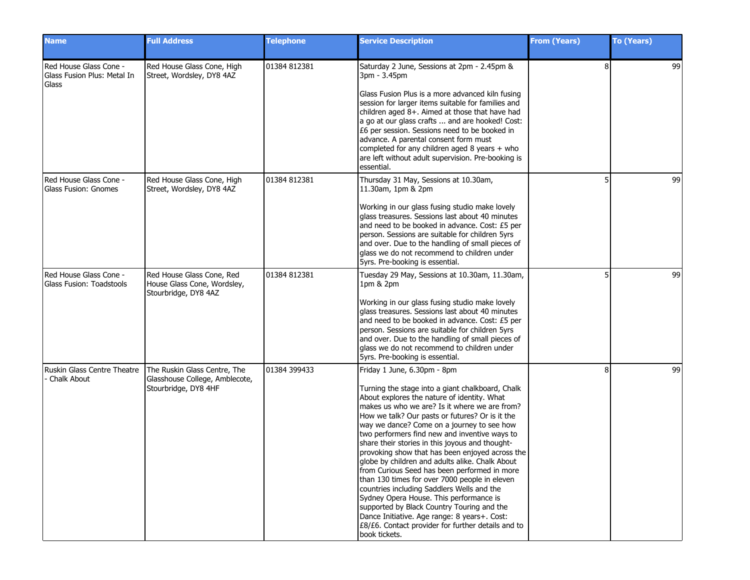| <b>Name</b>                                                    | <b>Full Address</b>                                                                    | <b>Telephone</b> | <b>Service Description</b>                                                                                                                                                                                                                                                                                                                                                                                                                                                                                                                                                                                                                                                                                                                                                                                                                                | <b>From (Years)</b> | <b>To (Years)</b> |
|----------------------------------------------------------------|----------------------------------------------------------------------------------------|------------------|-----------------------------------------------------------------------------------------------------------------------------------------------------------------------------------------------------------------------------------------------------------------------------------------------------------------------------------------------------------------------------------------------------------------------------------------------------------------------------------------------------------------------------------------------------------------------------------------------------------------------------------------------------------------------------------------------------------------------------------------------------------------------------------------------------------------------------------------------------------|---------------------|-------------------|
| Red House Glass Cone -<br>Glass Fusion Plus: Metal In<br>Glass | Red House Glass Cone, High<br>Street, Wordsley, DY8 4AZ                                | 01384 812381     | Saturday 2 June, Sessions at 2pm - 2.45pm &<br>3pm - 3.45pm<br>Glass Fusion Plus is a more advanced kiln fusing<br>session for larger items suitable for families and<br>children aged 8+. Aimed at those that have had<br>a go at our glass crafts  and are hooked! Cost:<br>£6 per session. Sessions need to be booked in<br>advance. A parental consent form must<br>completed for any children aged 8 years + who<br>are left without adult supervision. Pre-booking is<br>essential.                                                                                                                                                                                                                                                                                                                                                                 | 8                   | 99                |
| Red House Glass Cone -<br><b>Glass Fusion: Gnomes</b>          | Red House Glass Cone, High<br>Street, Wordsley, DY8 4AZ                                | 01384 812381     | Thursday 31 May, Sessions at 10.30am,<br>11.30am, 1pm & 2pm<br>Working in our glass fusing studio make lovely<br>glass treasures. Sessions last about 40 minutes<br>and need to be booked in advance. Cost: £5 per<br>person. Sessions are suitable for children 5yrs<br>and over. Due to the handling of small pieces of<br>glass we do not recommend to children under<br>5yrs. Pre-booking is essential.                                                                                                                                                                                                                                                                                                                                                                                                                                               |                     | 99                |
| Red House Glass Cone -<br>Glass Fusion: Toadstools             | Red House Glass Cone, Red<br>House Glass Cone, Wordsley,<br>Stourbridge, DY8 4AZ       | 01384 812381     | Tuesday 29 May, Sessions at 10.30am, 11.30am,<br>1pm & 2pm<br>Working in our glass fusing studio make lovely<br>glass treasures. Sessions last about 40 minutes<br>and need to be booked in advance. Cost: £5 per<br>person. Sessions are suitable for children 5yrs<br>and over. Due to the handling of small pieces of<br>glass we do not recommend to children under<br>5yrs. Pre-booking is essential.                                                                                                                                                                                                                                                                                                                                                                                                                                                |                     | 99                |
| Ruskin Glass Centre Theatre<br>Chalk About                     | The Ruskin Glass Centre, The<br>Glasshouse College, Amblecote,<br>Stourbridge, DY8 4HF | 01384 399433     | Friday 1 June, 6.30pm - 8pm<br>Turning the stage into a giant chalkboard, Chalk<br>About explores the nature of identity. What<br>makes us who we are? Is it where we are from?<br>How we talk? Our pasts or futures? Or is it the<br>way we dance? Come on a journey to see how<br>two performers find new and inventive ways to<br>share their stories in this joyous and thought-<br>provoking show that has been enjoyed across the<br>globe by children and adults alike. Chalk About<br>from Curious Seed has been performed in more<br>than 130 times for over 7000 people in eleven<br>countries including Saddlers Wells and the<br>Sydney Opera House. This performance is<br>supported by Black Country Touring and the<br>Dance Initiative. Age range: 8 years+. Cost:<br>£8/£6. Contact provider for further details and to<br>book tickets. | 8                   | 99                |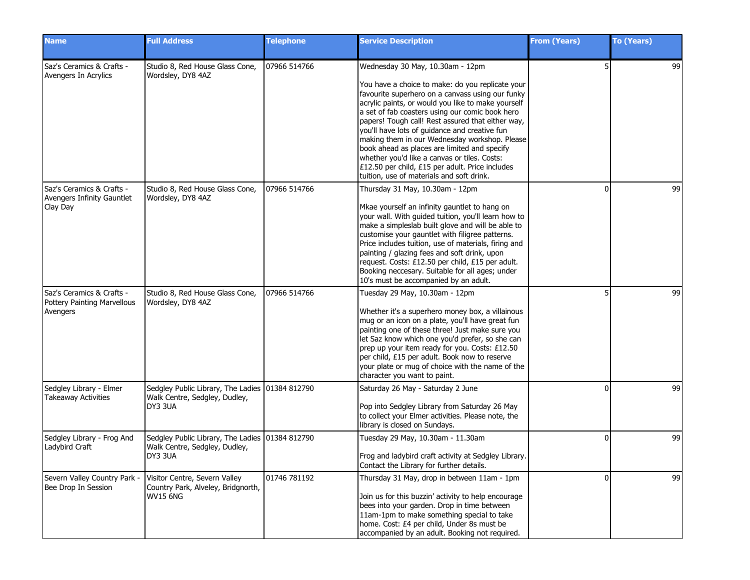| <b>Name</b>                                                          | <b>Full Address</b>                                                                           | <b>Telephone</b> | <b>Service Description</b>                                                                                                                                                                                                                                                                                                                                                                                                                                                                                                                                                                               | <b>From (Years)</b> | <b>To (Years)</b> |
|----------------------------------------------------------------------|-----------------------------------------------------------------------------------------------|------------------|----------------------------------------------------------------------------------------------------------------------------------------------------------------------------------------------------------------------------------------------------------------------------------------------------------------------------------------------------------------------------------------------------------------------------------------------------------------------------------------------------------------------------------------------------------------------------------------------------------|---------------------|-------------------|
| Saz's Ceramics & Crafts -<br>Avengers In Acrylics                    | Studio 8, Red House Glass Cone,<br>Wordsley, DY8 4AZ                                          | 07966 514766     | Wednesday 30 May, 10.30am - 12pm<br>You have a choice to make: do you replicate your<br>favourite superhero on a canvass using our funky<br>acrylic paints, or would you like to make yourself<br>a set of fab coasters using our comic book hero<br>papers! Tough call! Rest assured that either way,<br>you'll have lots of guidance and creative fun<br>making them in our Wednesday workshop. Please<br>book ahead as places are limited and specify<br>whether you'd like a canvas or tiles. Costs:<br>£12.50 per child, £15 per adult. Price includes<br>tuition, use of materials and soft drink. |                     | 99                |
| Saz's Ceramics & Crafts -<br>Avengers Infinity Gauntlet<br>Clay Day  | Studio 8, Red House Glass Cone,<br>Wordsley, DY8 4AZ                                          | 07966 514766     | Thursday 31 May, 10.30am - 12pm<br>Mkae yourself an infinity gauntlet to hang on<br>your wall. With guided tuition, you'll learn how to<br>make a simpleslab built glove and will be able to<br>customise your gauntlet with filigree patterns.<br>Price includes tuition, use of materials, firing and<br>painting / glazing fees and soft drink, upon<br>request. Costs: £12.50 per child, £15 per adult.<br>Booking neccesary. Suitable for all ages; under<br>10's must be accompanied by an adult.                                                                                                  |                     | 99                |
| Saz's Ceramics & Crafts -<br>Pottery Painting Marvellous<br>Avengers | Studio 8, Red House Glass Cone,<br>Wordsley, DY8 4AZ                                          | 07966 514766     | Tuesday 29 May, 10.30am - 12pm<br>Whether it's a superhero money box, a villainous<br>mug or an icon on a plate, you'll have great fun<br>painting one of these three! Just make sure you<br>let Saz know which one you'd prefer, so she can<br>prep up your item ready for you. Costs: £12.50<br>per child, £15 per adult. Book now to reserve<br>your plate or mug of choice with the name of the<br>character you want to paint.                                                                                                                                                                      |                     | 99                |
| Sedgley Library - Elmer<br><b>Takeaway Activities</b>                | Sedgley Public Library, The Ladies 01384 812790<br>Walk Centre, Sedgley, Dudley,<br>DY3 3UA   |                  | Saturday 26 May - Saturday 2 June<br>Pop into Sedgley Library from Saturday 26 May<br>to collect your Elmer activities. Please note, the<br>library is closed on Sundays.                                                                                                                                                                                                                                                                                                                                                                                                                                | ŋ                   | 99                |
| Sedgley Library - Frog And<br>Ladybird Craft                         | Sedgley Public Library, The Ladies   01384 812790<br>Walk Centre, Sedgley, Dudley,<br>DY3 3UA |                  | Tuesday 29 May, 10.30am - 11.30am<br>Frog and ladybird craft activity at Sedgley Library.<br>Contact the Library for further details.                                                                                                                                                                                                                                                                                                                                                                                                                                                                    | <sup>0</sup>        | 99                |
| Severn Valley Country Park -<br>Bee Drop In Session                  | Visitor Centre, Severn Valley<br>Country Park, Alveley, Bridgnorth,<br><b>WV15 6NG</b>        | 01746 781192     | Thursday 31 May, drop in between 11am - 1pm<br>Join us for this buzzin' activity to help encourage<br>bees into your garden. Drop in time between<br>11am-1pm to make something special to take<br>home. Cost: £4 per child, Under 8s must be<br>accompanied by an adult. Booking not required.                                                                                                                                                                                                                                                                                                          | $\Omega$            | 99                |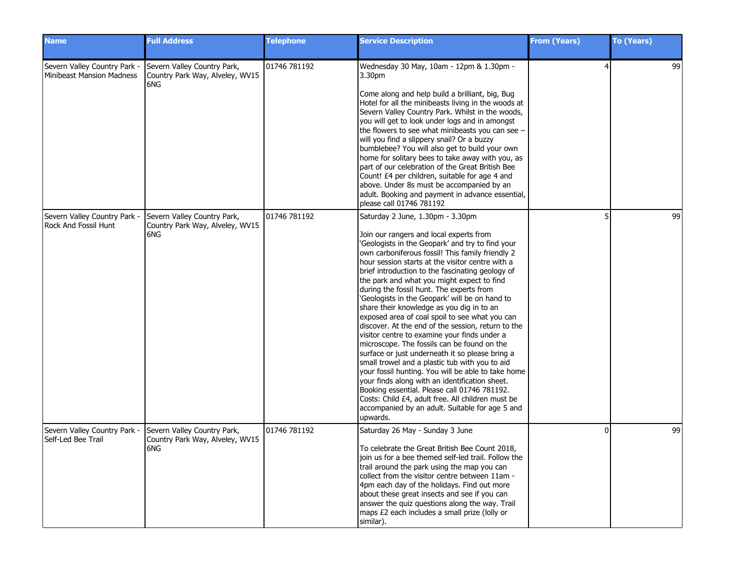| <b>Name</b>                                                      | <b>Full Address</b>                                                   | <b>Telephone</b> | <b>Service Description</b>                                                                                                                                                                                                                                                                                                                                                                                                                                                                                                                                                                                                                                                                                                                                                                                                                                                                                                                                                                                                                                                   | <b>From (Years)</b> | <b>To (Years)</b> |
|------------------------------------------------------------------|-----------------------------------------------------------------------|------------------|------------------------------------------------------------------------------------------------------------------------------------------------------------------------------------------------------------------------------------------------------------------------------------------------------------------------------------------------------------------------------------------------------------------------------------------------------------------------------------------------------------------------------------------------------------------------------------------------------------------------------------------------------------------------------------------------------------------------------------------------------------------------------------------------------------------------------------------------------------------------------------------------------------------------------------------------------------------------------------------------------------------------------------------------------------------------------|---------------------|-------------------|
| Severn Valley Country Park -<br><b>Minibeast Mansion Madness</b> | Severn Valley Country Park,<br>Country Park Way, Alveley, WV15<br>6NG | 01746 781192     | Wednesday 30 May, 10am - 12pm & 1.30pm -<br>3.30pm<br>Come along and help build a brilliant, big, Bug<br>Hotel for all the minibeasts living in the woods at<br>Severn Valley Country Park. Whilst in the woods,<br>you will get to look under logs and in amongst<br>the flowers to see what minibeasts you can see -<br>will you find a slippery snail? Or a buzzy<br>bumblebee? You will also get to build your own<br>home for solitary bees to take away with you, as<br>part of our celebration of the Great British Bee<br>Count! £4 per children, suitable for age 4 and<br>above. Under 8s must be accompanied by an<br>adult. Booking and payment in advance essential,<br>please call 01746 781192                                                                                                                                                                                                                                                                                                                                                                | 4                   | 99                |
| Severn Valley Country Park -<br><b>Rock And Fossil Hunt</b>      | Severn Valley Country Park,<br>Country Park Way, Alveley, WV15<br>6NG | 01746 781192     | Saturday 2 June, 1.30pm - 3.30pm<br>Join our rangers and local experts from<br>'Geologists in the Geopark' and try to find your<br>own carboniferous fossil! This family friendly 2<br>hour session starts at the visitor centre with a<br>brief introduction to the fascinating geology of<br>the park and what you might expect to find<br>during the fossil hunt. The experts from<br>'Geologists in the Geopark' will be on hand to<br>share their knowledge as you dig in to an<br>exposed area of coal spoil to see what you can<br>discover. At the end of the session, return to the<br>visitor centre to examine your finds under a<br>microscope. The fossils can be found on the<br>surface or just underneath it so please bring a<br>small trowel and a plastic tub with you to aid<br>your fossil hunting. You will be able to take home<br>your finds along with an identification sheet.<br>Booking essential. Please call 01746 781192.<br>Costs: Child £4, adult free. All children must be<br>accompanied by an adult. Suitable for age 5 and<br>upwards. |                     | 99                |
| Severn Valley Country Park -<br>Self-Led Bee Trail               | Severn Valley Country Park,<br>Country Park Way, Alveley, WV15<br>6NG | 01746 781192     | Saturday 26 May - Sunday 3 June<br>To celebrate the Great British Bee Count 2018,<br>join us for a bee themed self-led trail. Follow the<br>trail around the park using the map you can<br>collect from the visitor centre between 11am -<br>4pm each day of the holidays. Find out more<br>about these great insects and see if you can<br>answer the quiz questions along the way. Trail<br>maps £2 each includes a small prize (lolly or<br>similar).                                                                                                                                                                                                                                                                                                                                                                                                                                                                                                                                                                                                                     | $\Omega$            | 99                |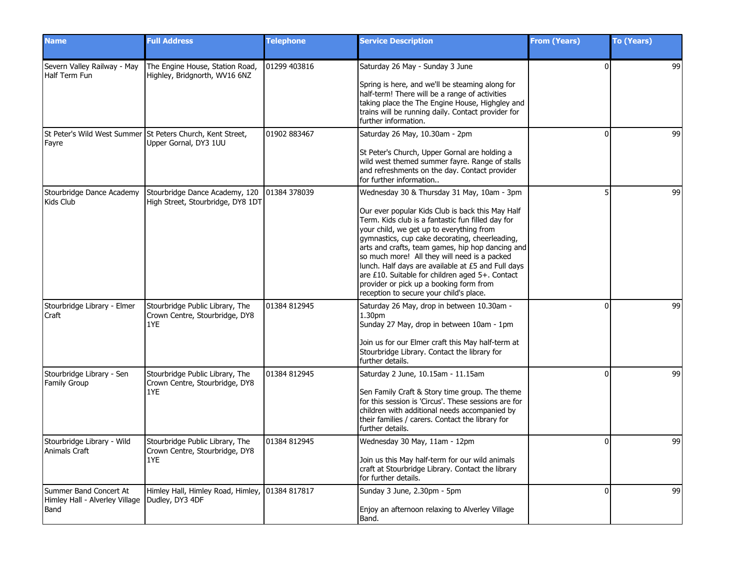| <b>Name</b>                                                                        | <b>Full Address</b>                                                                 | <b>Telephone</b> | <b>Service Description</b>                                                                                                                                                                                                                                                                                                                                                                                                                                                                                                                           | <b>From (Years)</b> | To (Years) |
|------------------------------------------------------------------------------------|-------------------------------------------------------------------------------------|------------------|------------------------------------------------------------------------------------------------------------------------------------------------------------------------------------------------------------------------------------------------------------------------------------------------------------------------------------------------------------------------------------------------------------------------------------------------------------------------------------------------------------------------------------------------------|---------------------|------------|
| Severn Valley Railway - May<br>Half Term Fun                                       | The Engine House, Station Road,<br>Highley, Bridgnorth, WV16 6NZ                    | 01299 403816     | Saturday 26 May - Sunday 3 June<br>Spring is here, and we'll be steaming along for<br>half-term! There will be a range of activities<br>taking place the The Engine House, Highgley and<br>trains will be running daily. Contact provider for<br>further information.                                                                                                                                                                                                                                                                                | $\Omega$            | 99         |
| Fayre                                                                              | St Peter's Wild West Summer St Peters Church, Kent Street,<br>Upper Gornal, DY3 1UU | 01902 883467     | Saturday 26 May, 10.30am - 2pm<br>St Peter's Church, Upper Gornal are holding a<br>wild west themed summer fayre. Range of stalls<br>and refreshments on the day. Contact provider<br>for further information                                                                                                                                                                                                                                                                                                                                        | $\Omega$            | 99         |
| Stourbridge Dance Academy<br>Kids Club                                             | Stourbridge Dance Academy, 120<br>High Street, Stourbridge, DY8 1DT                 | 01384 378039     | Wednesday 30 & Thursday 31 May, 10am - 3pm<br>Our ever popular Kids Club is back this May Half<br>Term. Kids club is a fantastic fun filled day for<br>your child, we get up to everything from<br>gymnastics, cup cake decorating, cheerleading,<br>arts and crafts, team games, hip hop dancing and<br>so much more! All they will need is a packed<br>lunch. Half days are available at £5 and Full days<br>are £10. Suitable for children aged 5+. Contact<br>provider or pick up a booking form from<br>reception to secure your child's place. |                     | 99         |
| Stourbridge Library - Elmer<br>Craft                                               | Stourbridge Public Library, The<br>Crown Centre, Stourbridge, DY8<br>1YE            | 01384 812945     | Saturday 26 May, drop in between 10.30am -<br>1.30 <sub>pm</sub><br>Sunday 27 May, drop in between 10am - 1pm<br>Join us for our Elmer craft this May half-term at<br>Stourbridge Library. Contact the library for<br>further details.                                                                                                                                                                                                                                                                                                               | $\Omega$            | 99         |
| Stourbridge Library - Sen<br><b>Family Group</b>                                   | Stourbridge Public Library, The<br>Crown Centre, Stourbridge, DY8<br>1YE            | 01384 812945     | Saturday 2 June, 10.15am - 11.15am<br>Sen Family Craft & Story time group. The theme<br>for this session is 'Circus'. These sessions are for<br>children with additional needs accompanied by<br>their families / carers. Contact the library for<br>further details.                                                                                                                                                                                                                                                                                | $\Omega$            | 99         |
| Stourbridge Library - Wild<br>Animals Craft                                        | Stourbridge Public Library, The<br>Crown Centre, Stourbridge, DY8<br>1YE            | 01384 812945     | Wednesday 30 May, 11am - 12pm<br>Join us this May half-term for our wild animals<br>craft at Stourbridge Library. Contact the library<br>for further details.                                                                                                                                                                                                                                                                                                                                                                                        | $\Omega$            | 99         |
| Summer Band Concert At<br>Himley Hall - Alverley Village   Dudley, DY3 4DF<br>Band | Himley Hall, Himley Road, Himley, 101384 817817                                     |                  | Sunday 3 June, 2.30pm - 5pm<br>Enjoy an afternoon relaxing to Alverley Village<br>Band.                                                                                                                                                                                                                                                                                                                                                                                                                                                              | $\Omega$            | 99         |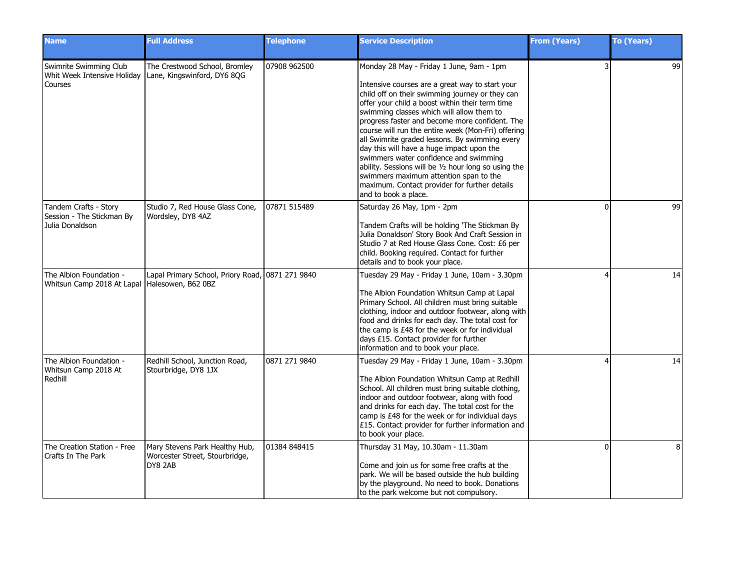| <b>Name</b>                                                              | <b>Full Address</b>                                                         | <b>Telephone</b> | <b>Service Description</b>                                                                                                                                                                                                                                                                                                                                                                                                                                                                                                                                                                                                                                                 | <b>From (Years)</b> | <b>To (Years)</b> |
|--------------------------------------------------------------------------|-----------------------------------------------------------------------------|------------------|----------------------------------------------------------------------------------------------------------------------------------------------------------------------------------------------------------------------------------------------------------------------------------------------------------------------------------------------------------------------------------------------------------------------------------------------------------------------------------------------------------------------------------------------------------------------------------------------------------------------------------------------------------------------------|---------------------|-------------------|
| Swimrite Swimming Club<br>Whit Week Intensive Holiday<br>Courses         | The Crestwood School, Bromley<br>Lane, Kingswinford, DY6 8QG                | 07908 962500     | Monday 28 May - Friday 1 June, 9am - 1pm<br>Intensive courses are a great way to start your<br>child off on their swimming journey or they can<br>offer your child a boost within their term time<br>swimming classes which will allow them to<br>progress faster and become more confident. The<br>course will run the entire week (Mon-Fri) offering<br>all Swimrite graded lessons. By swimming every<br>day this will have a huge impact upon the<br>swimmers water confidence and swimming<br>ability. Sessions will be 1/2 hour long so using the<br>swimmers maximum attention span to the<br>maximum. Contact provider for further details<br>and to book a place. |                     | 99                |
| Tandem Crafts - Story<br>Session - The Stickman By<br>Julia Donaldson    | Studio 7, Red House Glass Cone,<br>Wordsley, DY8 4AZ                        | 07871 515489     | Saturday 26 May, 1pm - 2pm<br>Tandem Crafts will be holding 'The Stickman By<br>Julia Donaldson' Story Book And Craft Session in<br>Studio 7 at Red House Glass Cone. Cost: £6 per<br>child. Booking required. Contact for further<br>details and to book your place.                                                                                                                                                                                                                                                                                                                                                                                                      | ŋ                   | 99                |
| The Albion Foundation -<br>Whitsun Camp 2018 At Lapal Halesowen, B62 0BZ | Lapal Primary School, Priory Road, 0871 271 9840                            |                  | Tuesday 29 May - Friday 1 June, 10am - 3.30pm<br>The Albion Foundation Whitsun Camp at Lapal<br>Primary School. All children must bring suitable<br>clothing, indoor and outdoor footwear, along with<br>food and drinks for each day. The total cost for<br>the camp is £48 for the week or for individual<br>days £15. Contact provider for further<br>information and to book your place.                                                                                                                                                                                                                                                                               |                     | 14                |
| The Albion Foundation -<br>Whitsun Camp 2018 At<br>Redhill               | Redhill School, Junction Road,<br>Stourbridge, DY8 1JX                      | 0871 271 9840    | Tuesday 29 May - Friday 1 June, 10am - 3.30pm<br>The Albion Foundation Whitsun Camp at Redhill<br>School. All children must bring suitable clothing,<br>indoor and outdoor footwear, along with food<br>and drinks for each day. The total cost for the<br>camp is £48 for the week or for individual days<br>£15. Contact provider for further information and<br>to book your place.                                                                                                                                                                                                                                                                                     |                     | 14                |
| The Creation Station - Free<br>Crafts In The Park                        | Mary Stevens Park Healthy Hub,<br>Worcester Street, Stourbridge,<br>DY8 2AB | 01384 848415     | Thursday 31 May, 10.30am - 11.30am<br>Come and join us for some free crafts at the<br>park. We will be based outside the hub building<br>by the playground. No need to book. Donations<br>to the park welcome but not compulsory.                                                                                                                                                                                                                                                                                                                                                                                                                                          | $\Omega$            | 8                 |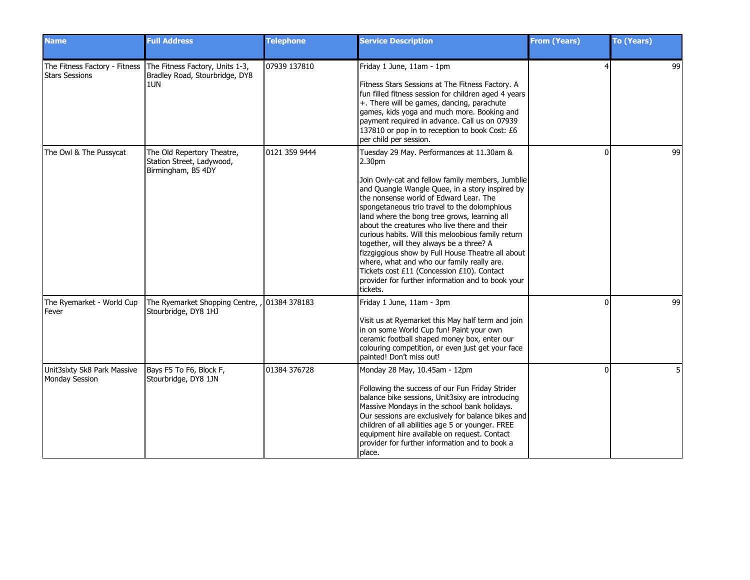| <b>Name</b>                                   | <b>Full Address</b>                                                                                    | <b>Telephone</b> | <b>Service Description</b>                                                                                                                                                                                                                                                                                                                                                                                                                                                                                                                                                                                                                                                           | <b>From (Years)</b> | To (Years) |
|-----------------------------------------------|--------------------------------------------------------------------------------------------------------|------------------|--------------------------------------------------------------------------------------------------------------------------------------------------------------------------------------------------------------------------------------------------------------------------------------------------------------------------------------------------------------------------------------------------------------------------------------------------------------------------------------------------------------------------------------------------------------------------------------------------------------------------------------------------------------------------------------|---------------------|------------|
| <b>Stars Sessions</b>                         | The Fitness Factory - Fitness The Fitness Factory, Units 1-3,<br>Bradley Road, Stourbridge, DY8<br>1UN | 07939 137810     | Friday 1 June, 11am - 1pm<br>Fitness Stars Sessions at The Fitness Factory. A<br>fun filled fitness session for children aged 4 years<br>+. There will be games, dancing, parachute<br>games, kids yoga and much more. Booking and<br>payment required in advance. Call us on 07939<br>137810 or pop in to reception to book Cost: £6<br>per child per session.                                                                                                                                                                                                                                                                                                                      | 4                   | 99         |
| The Owl & The Pussycat                        | The Old Repertory Theatre,<br>Station Street, Ladywood,<br>Birmingham, B5 4DY                          | 0121 359 9444    | Tuesday 29 May. Performances at 11.30am &<br>2.30 <sub>pm</sub><br>Join Owly-cat and fellow family members, Jumblie<br>and Quangle Wangle Quee, in a story inspired by<br>the nonsense world of Edward Lear. The<br>spongetaneous trio travel to the dolomphious<br>land where the bong tree grows, learning all<br>about the creatures who live there and their<br>curious habits. Will this meloobious family return<br>together, will they always be a three? A<br>fizzgiggious show by Full House Theatre all about<br>where, what and who our family really are.<br>Tickets cost £11 (Concession £10). Contact<br>provider for further information and to book your<br>tickets. | $\Omega$            | 99         |
| The Ryemarket - World Cup<br>Fever            | The Ryemarket Shopping Centre, , 01384 378183<br>Stourbridge, DY8 1HJ                                  |                  | Friday 1 June, 11am - 3pm<br>Visit us at Ryemarket this May half term and join<br>in on some World Cup fun! Paint your own<br>ceramic football shaped money box, enter our<br>colouring competition, or even just get your face<br>painted! Don't miss out!                                                                                                                                                                                                                                                                                                                                                                                                                          | $\Omega$            | 99         |
| Unit3sixty Sk8 Park Massive<br>Monday Session | Bays F5 To F6, Block F,<br>Stourbridge, DY8 1JN                                                        | 01384 376728     | Monday 28 May, 10.45am - 12pm<br>Following the success of our Fun Friday Strider<br>balance bike sessions, Unit3sixy are introducing<br>Massive Mondays in the school bank holidays.<br>Our sessions are exclusively for balance bikes and<br>children of all abilities age 5 or younger. FREE<br>equipment hire available on request. Contact<br>provider for further information and to book a<br>place.                                                                                                                                                                                                                                                                           | ŋ                   | 5          |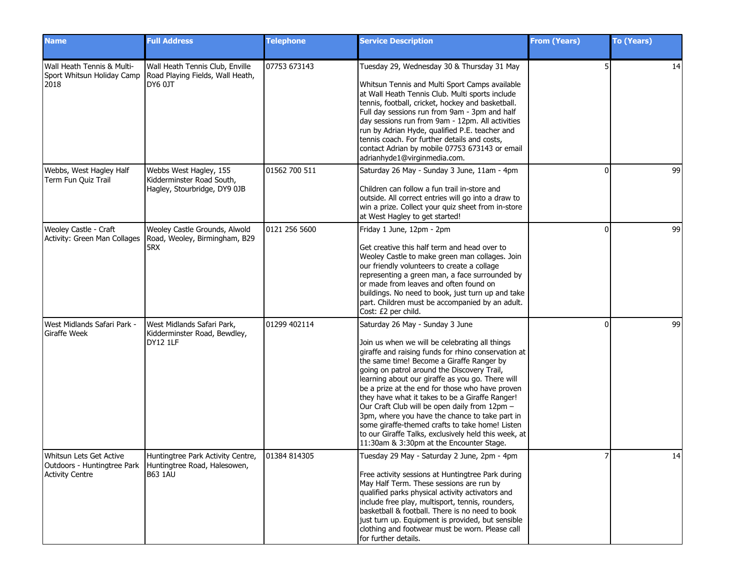| <b>Name</b>                                                      | <b>Full Address</b>                                                                                                 | <b>Telephone</b> | <b>Service Description</b>                                                                                                                                                                                                                                                                                                                                                                                                                                                                                                                                                                                                                               | <b>From (Years)</b> | <b>To (Years)</b> |
|------------------------------------------------------------------|---------------------------------------------------------------------------------------------------------------------|------------------|----------------------------------------------------------------------------------------------------------------------------------------------------------------------------------------------------------------------------------------------------------------------------------------------------------------------------------------------------------------------------------------------------------------------------------------------------------------------------------------------------------------------------------------------------------------------------------------------------------------------------------------------------------|---------------------|-------------------|
| Wall Heath Tennis & Multi-<br>Sport Whitsun Holiday Camp<br>2018 | Wall Heath Tennis Club, Enville<br>Road Playing Fields, Wall Heath,<br>DY6 0JT                                      | 07753 673143     | Tuesday 29, Wednesday 30 & Thursday 31 May<br>Whitsun Tennis and Multi Sport Camps available<br>at Wall Heath Tennis Club. Multi sports include<br>tennis, football, cricket, hockey and basketball.<br>Full day sessions run from 9am - 3pm and half<br>day sessions run from 9am - 12pm. All activities<br>run by Adrian Hyde, qualified P.E. teacher and<br>tennis coach. For further details and costs,<br>contact Adrian by mobile 07753 673143 or email<br>adrianhyde1@virginmedia.com.                                                                                                                                                            |                     | 14                |
| Webbs, West Hagley Half<br>Term Fun Quiz Trail                   | Webbs West Hagley, 155<br>Kidderminster Road South,<br>Hagley, Stourbridge, DY9 0JB                                 | 01562 700 511    | Saturday 26 May - Sunday 3 June, 11am - 4pm<br>Children can follow a fun trail in-store and<br>outside. All correct entries will go into a draw to<br>win a prize. Collect your quiz sheet from in-store<br>at West Hagley to get started!                                                                                                                                                                                                                                                                                                                                                                                                               | ŋ                   | 99                |
| Weoley Castle - Craft<br>Activity: Green Man Collages            | Weoley Castle Grounds, Alwold<br>Road, Weoley, Birmingham, B29<br>5RX                                               | 0121 256 5600    | Friday 1 June, 12pm - 2pm<br>Get creative this half term and head over to<br>Weoley Castle to make green man collages. Join<br>our friendly volunteers to create a collage<br>representing a green man, a face surrounded by<br>or made from leaves and often found on<br>buildings. No need to book, just turn up and take<br>part. Children must be accompanied by an adult.<br>Cost: £2 per child.                                                                                                                                                                                                                                                    | ŋ                   | 99                |
| West Midlands Safari Park -<br>Giraffe Week                      | West Midlands Safari Park,<br>Kidderminster Road, Bewdley,<br><b>DY12 1LF</b>                                       | 01299 402114     | Saturday 26 May - Sunday 3 June<br>Join us when we will be celebrating all things<br>giraffe and raising funds for rhino conservation at<br>the same time! Become a Giraffe Ranger by<br>going on patrol around the Discovery Trail,<br>learning about our giraffe as you go. There will<br>be a prize at the end for those who have proven<br>they have what it takes to be a Giraffe Ranger!<br>Our Craft Club will be open daily from 12pm -<br>3pm, where you have the chance to take part in<br>some giraffe-themed crafts to take home! Listen<br>to our Giraffe Talks, exclusively held this week, at<br>11:30am & 3:30pm at the Encounter Stage. | ŋ                   | 99                |
| Whitsun Lets Get Active<br><b>Activity Centre</b>                | Huntingtree Park Activity Centre,<br>Outdoors - Huntingtree Park   Huntingtree Road, Halesowen,<br><b>I</b> B63 1AU | 01384 814305     | Tuesday 29 May - Saturday 2 June, 2pm - 4pm<br>Free activity sessions at Huntingtree Park during<br>May Half Term. These sessions are run by<br>qualified parks physical activity activators and<br>include free play, multisport, tennis, rounders,<br>basketball & football. There is no need to book<br>just turn up. Equipment is provided, but sensible<br>clothing and footwear must be worn. Please call<br>for further details.                                                                                                                                                                                                                  |                     | 14                |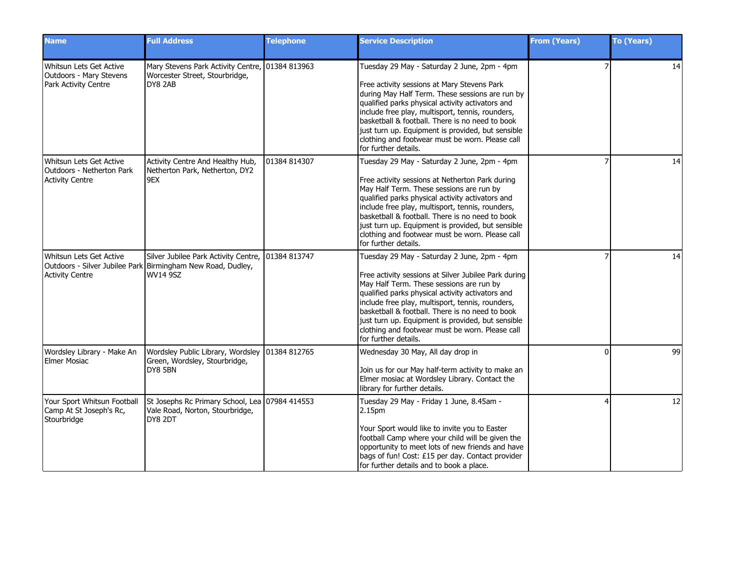| <b>Name</b>                                                                       | <b>Full Address</b>                                                                                                    | <b>Telephone</b> | <b>Service Description</b>                                                                                                                                                                                                                                                                                                                                                                                                                 | <b>From (Years)</b> | <b>To (Years)</b> |
|-----------------------------------------------------------------------------------|------------------------------------------------------------------------------------------------------------------------|------------------|--------------------------------------------------------------------------------------------------------------------------------------------------------------------------------------------------------------------------------------------------------------------------------------------------------------------------------------------------------------------------------------------------------------------------------------------|---------------------|-------------------|
| Whitsun Lets Get Active<br>Outdoors - Mary Stevens<br><b>Park Activity Centre</b> | Mary Stevens Park Activity Centre, 01384 813963<br>Worcester Street, Stourbridge,<br>DY8 2AB                           |                  | Tuesday 29 May - Saturday 2 June, 2pm - 4pm<br>Free activity sessions at Mary Stevens Park<br>during May Half Term. These sessions are run by<br>qualified parks physical activity activators and<br>include free play, multisport, tennis, rounders,<br>basketball & football. There is no need to book<br>just turn up. Equipment is provided, but sensible<br>clothing and footwear must be worn. Please call<br>for further details.   |                     | 14                |
| Whitsun Lets Get Active<br>Outdoors - Netherton Park<br><b>Activity Centre</b>    | Activity Centre And Healthy Hub,<br>Netherton Park, Netherton, DY2<br>9EX                                              | 01384 814307     | Tuesday 29 May - Saturday 2 June, 2pm - 4pm<br>Free activity sessions at Netherton Park during<br>May Half Term. These sessions are run by<br>qualified parks physical activity activators and<br>include free play, multisport, tennis, rounders,<br>basketball & football. There is no need to book<br>just turn up. Equipment is provided, but sensible<br>clothing and footwear must be worn. Please call<br>for further details.      |                     | 14                |
| Whitsun Lets Get Active<br><b>Activity Centre</b>                                 | Silver Jubilee Park Activity Centre,<br>Outdoors - Silver Jubilee Park Birmingham New Road, Dudley,<br><b>WV14 9SZ</b> | 01384 813747     | Tuesday 29 May - Saturday 2 June, 2pm - 4pm<br>Free activity sessions at Silver Jubilee Park during<br>May Half Term. These sessions are run by<br>qualified parks physical activity activators and<br>include free play, multisport, tennis, rounders,<br>basketball & football. There is no need to book<br>just turn up. Equipment is provided, but sensible<br>clothing and footwear must be worn. Please call<br>for further details. |                     | 14                |
| Wordsley Library - Make An<br>Elmer Mosiac                                        | Wordsley Public Library, Wordsley 01384 812765<br>Green, Wordsley, Stourbridge,<br>DY8 5BN                             |                  | Wednesday 30 May, All day drop in<br>Join us for our May half-term activity to make an<br>Elmer mosiac at Wordsley Library. Contact the<br>library for further details.                                                                                                                                                                                                                                                                    | $\Omega$            | 99                |
| Your Sport Whitsun Football<br>Camp At St Joseph's Rc,<br>Stourbridge             | St Josephs Rc Primary School, Lea 07984 414553<br>Vale Road, Norton, Stourbridge,<br>DY8 2DT                           |                  | Tuesday 29 May - Friday 1 June, 8.45am -<br>2.15pm<br>Your Sport would like to invite you to Easter<br>football Camp where your child will be given the<br>opportunity to meet lots of new friends and have<br>bags of fun! Cost: £15 per day. Contact provider<br>for further details and to book a place.                                                                                                                                |                     | 12                |